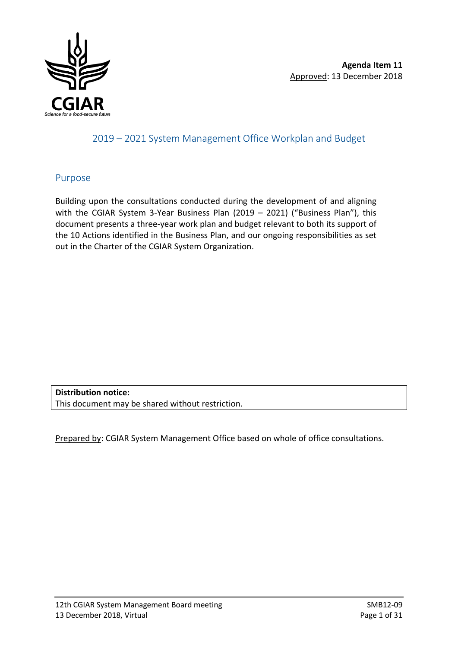

# 2019 – 2021 System Management Office Workplan and Budget

### Purpose

Building upon the consultations conducted during the development of and aligning with the CGIAR System 3-Year Business Plan (2019 – 2021) ("Business Plan"), this document presents a three-year work plan and budget relevant to both its support of the 10 Actions identified in the Business Plan, and our ongoing responsibilities as set out in the Charter of the CGIAR System Organization.

**Distribution notice:** This document may be shared without restriction.

Prepared by: CGIAR System Management Office based on whole of office consultations.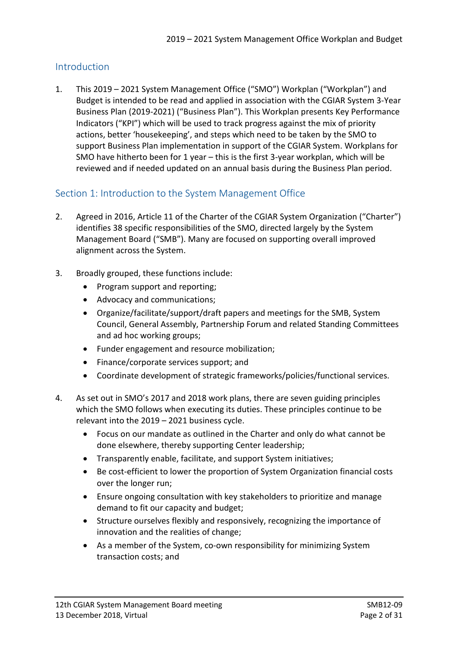# **Introduction**

1. This 2019 – 2021 System Management Office ("SMO") Workplan ("Workplan") and Budget is intended to be read and applied in association with the CGIAR System 3-Year Business Plan (2019-2021) ("Business Plan"). This Workplan presents Key Performance Indicators ("KPI") which will be used to track progress against the mix of priority actions, better 'housekeeping', and steps which need to be taken by the SMO to support Business Plan implementation in support of the CGIAR System. Workplans for SMO have hitherto been for 1 year – this is the first 3-year workplan, which will be reviewed and if needed updated on an annual basis during the Business Plan period.

## Section 1: Introduction to the System Management Office

- 2. Agreed in 2016, Article 11 of the Charter of the CGIAR System Organization ("Charter") identifies 38 specific responsibilities of the SMO, directed largely by the System Management Board ("SMB"). Many are focused on supporting overall improved alignment across the System.
- 3. Broadly grouped, these functions include:
	- Program support and reporting;
	- Advocacy and communications;
	- Organize/facilitate/support/draft papers and meetings for the SMB, System Council, General Assembly, Partnership Forum and related Standing Committees and ad hoc working groups;
	- Funder engagement and resource mobilization;
	- Finance/corporate services support; and
	- Coordinate development of strategic frameworks/policies/functional services.
- 4. As set out in SMO's 2017 and 2018 work plans, there are seven guiding principles which the SMO follows when executing its duties. These principles continue to be relevant into the 2019 – 2021 business cycle.
	- Focus on our mandate as outlined in the Charter and only do what cannot be done elsewhere, thereby supporting Center leadership;
	- Transparently enable, facilitate, and support System initiatives;
	- Be cost-efficient to lower the proportion of System Organization financial costs over the longer run;
	- Ensure ongoing consultation with key stakeholders to prioritize and manage demand to fit our capacity and budget;
	- Structure ourselves flexibly and responsively, recognizing the importance of innovation and the realities of change;
	- As a member of the System, co-own responsibility for minimizing System transaction costs; and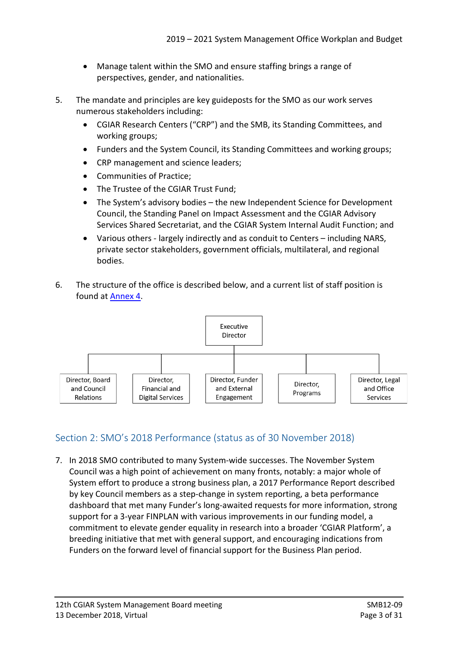- Manage talent within the SMO and ensure staffing brings a range of perspectives, gender, and nationalities.
- 5. The mandate and principles are key guideposts for the SMO as our work serves numerous stakeholders including:
	- CGIAR Research Centers ("CRP") and the SMB, its Standing Committees, and working groups;
	- Funders and the System Council, its Standing Committees and working groups;
	- CRP management and science leaders;
	- Communities of Practice;
	- The Trustee of the CGIAR Trust Fund;
	- The System's advisory bodies the new Independent Science for Development Council, the Standing Panel on Impact Assessment and the CGIAR Advisory Services Shared Secretariat, and the CGIAR System Internal Audit Function; and
	- Various others largely indirectly and as conduit to Centers including NARS, private sector stakeholders, government officials, multilateral, and regional bodies.
- 6. The structure of the office is described below, and a current list of staff position is found at [Annex 4.](#page-28-0)



# Section 2: SMO's 2018 Performance (status as of 30 November 2018)

7. In 2018 SMO contributed to many System-wide successes. The November System Council was a high point of achievement on many fronts, notably: a major whole of System effort to produce a strong business plan, a 2017 Performance Report described by key Council members as a step-change in system reporting, a beta performance dashboard that met many Funder's long-awaited requests for more information, strong support for a 3-year FINPLAN with various improvements in our funding model, a commitment to elevate gender equality in research into a broader 'CGIAR Platform', a breeding initiative that met with general support, and encouraging indications from Funders on the forward level of financial support for the Business Plan period.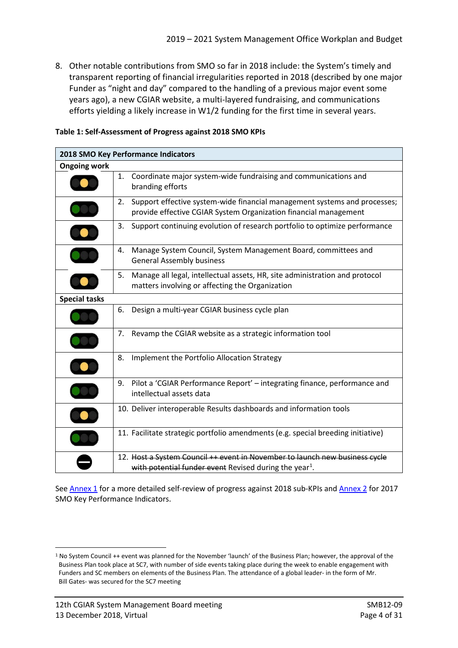8. Other notable contributions from SMO so far in 2018 include: the System's timely and transparent reporting of financial irregularities reported in 2018 (described by one major Funder as "night and day" compared to the handling of a previous major event some years ago), a new CGIAR website, a multi-layered fundraising, and communications efforts yielding a likely increase in W1/2 funding for the first time in several years.

|                      | 2018 SMO Key Performance Indicators                                                                                                                 |
|----------------------|-----------------------------------------------------------------------------------------------------------------------------------------------------|
| <b>Ongoing work</b>  |                                                                                                                                                     |
|                      | Coordinate major system-wide fundraising and communications and<br>1.<br>branding efforts                                                           |
|                      | Support effective system-wide financial management systems and processes;<br>2.<br>provide effective CGIAR System Organization financial management |
| $\bullet$            | Support continuing evolution of research portfolio to optimize performance<br>3.                                                                    |
| $\bullet$            | Manage System Council, System Management Board, committees and<br>4.<br><b>General Assembly business</b>                                            |
|                      | 5.<br>Manage all legal, intellectual assets, HR, site administration and protocol<br>matters involving or affecting the Organization                |
| <b>Special tasks</b> |                                                                                                                                                     |
|                      | Design a multi-year CGIAR business cycle plan<br>6.                                                                                                 |
|                      | Revamp the CGIAR website as a strategic information tool<br>7.                                                                                      |
| $\bullet$            | 8.<br>Implement the Portfolio Allocation Strategy                                                                                                   |
| $\bullet$            | Pilot a 'CGIAR Performance Report' - integrating finance, performance and<br>9.<br>intellectual assets data                                         |
| $\bullet$            | 10. Deliver interoperable Results dashboards and information tools                                                                                  |
|                      | 11. Facilitate strategic portfolio amendments (e.g. special breeding initiative)                                                                    |
|                      | 12. Host a System Council ++ event in November to launch new business cycle<br>with potential funder event Revised during the year <sup>1</sup> .   |

#### **Table 1: Self-Assessment of Progress against 2018 SMO KPIs**

Se[e Annex 1](#page-12-0) for a more detailed self-review of progress against 2018 sub-KPIs and [Annex 2](#page-15-0) for 2017 SMO Key Performance Indicators.

<span id="page-3-0"></span> <sup>1</sup> No System Council ++ event was planned for the November 'launch' of the Business Plan; however, the approval of the Business Plan took place at SC7, with number of side events taking place during the week to enable engagement with Funders and SC members on elements of the Business Plan. The attendance of a global leader- in the form of Mr. Bill Gates- was secured for the SC7 meeting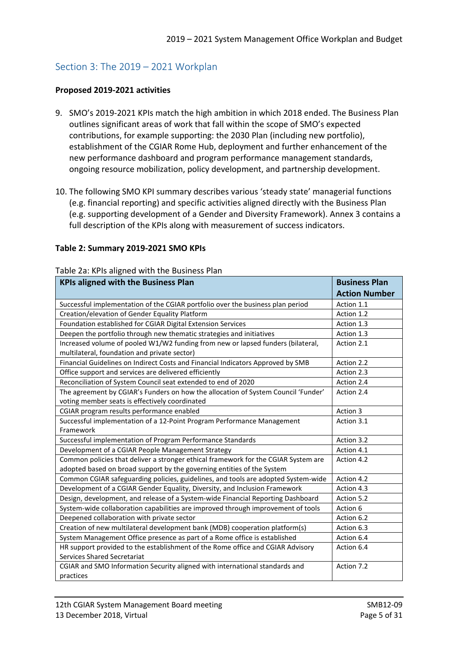# Section 3: The 2019 – 2021 Workplan

### **Proposed 2019-2021 activities**

- 9. SMO's 2019-2021 KPIs match the high ambition in which 2018 ended. The Business Plan outlines significant areas of work that fall within the scope of SMO's expected contributions, for example supporting: the 2030 Plan (including new portfolio), establishment of the CGIAR Rome Hub, deployment and further enhancement of the new performance dashboard and program performance management standards, ongoing resource mobilization, policy development, and partnership development.
- 10. The following SMO KPI summary describes various 'steady state' managerial functions (e.g. financial reporting) and specific activities aligned directly with the Business Plan (e.g. supporting development of a Gender and Diversity Framework). Annex 3 contains a full description of the KPIs along with measurement of success indicators.

### **Table 2: Summary 2019-2021 SMO KPIs**

#### Table 2a: KPIs aligned with the Business Plan

| <b>KPIs aligned with the Business Plan</b>                                         | <b>Business Plan</b> |
|------------------------------------------------------------------------------------|----------------------|
|                                                                                    | <b>Action Number</b> |
| Successful implementation of the CGIAR portfolio over the business plan period     | Action 1.1           |
| Creation/elevation of Gender Equality Platform                                     | Action 1.2           |
| Foundation established for CGIAR Digital Extension Services                        | Action 1.3           |
| Deepen the portfolio through new thematic strategies and initiatives               | Action 1.3           |
| Increased volume of pooled W1/W2 funding from new or lapsed funders (bilateral,    | Action 2.1           |
| multilateral, foundation and private sector)                                       |                      |
| Financial Guidelines on Indirect Costs and Financial Indicators Approved by SMB    | Action 2.2           |
| Office support and services are delivered efficiently                              | Action 2.3           |
| Reconciliation of System Council seat extended to end of 2020                      | Action 2.4           |
| The agreement by CGIAR's Funders on how the allocation of System Council 'Funder'  | Action 2.4           |
| voting member seats is effectively coordinated                                     |                      |
| CGIAR program results performance enabled                                          | Action 3             |
| Successful implementation of a 12-Point Program Performance Management             | Action 3.1           |
| Framework                                                                          |                      |
| Successful implementation of Program Performance Standards                         | Action 3.2           |
| Development of a CGIAR People Management Strategy                                  | Action 4.1           |
| Common policies that deliver a stronger ethical framework for the CGIAR System are | Action 4.2           |
| adopted based on broad support by the governing entities of the System             |                      |
| Common CGIAR safeguarding policies, guidelines, and tools are adopted System-wide  | Action 4.2           |
| Development of a CGIAR Gender Equality, Diversity, and Inclusion Framework         | Action 4.3           |
| Design, development, and release of a System-wide Financial Reporting Dashboard    | Action 5.2           |
| System-wide collaboration capabilities are improved through improvement of tools   | Action 6             |
| Deepened collaboration with private sector                                         | Action 6.2           |
| Creation of new multilateral development bank (MDB) cooperation platform(s)        | Action 6.3           |
| System Management Office presence as part of a Rome office is established          | Action 6.4           |
| HR support provided to the establishment of the Rome office and CGIAR Advisory     | Action 6.4           |
| <b>Services Shared Secretariat</b>                                                 |                      |
| CGIAR and SMO Information Security aligned with international standards and        | Action 7.2           |
| practices                                                                          |                      |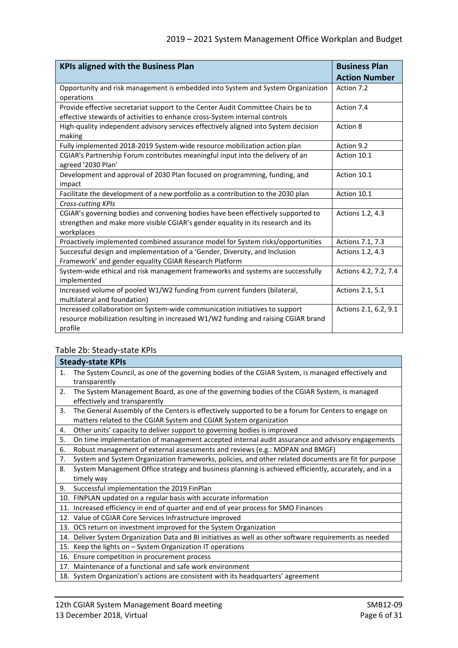| <b>KPIs aligned with the Business Plan</b>                                                           | <b>Business Plan</b>  |
|------------------------------------------------------------------------------------------------------|-----------------------|
|                                                                                                      | <b>Action Number</b>  |
| Opportunity and risk management is embedded into System and System Organization                      | Action 7.2            |
| operations                                                                                           |                       |
| Provide effective secretariat support to the Center Audit Committee Chairs be to                     | Action 7.4            |
| effective stewards of activities to enhance cross-System internal controls                           |                       |
| High-quality independent advisory services effectively aligned into System decision<br>making        | Action 8              |
| Fully implemented 2018-2019 System-wide resource mobilization action plan                            | Action 9.2            |
| CGIAR's Partnership Forum contributes meaningful input into the delivery of an<br>agreed '2030 Plan' | Action 10.1           |
| Development and approval of 2030 Plan focused on programming, funding, and                           | Action 10.1           |
| impact                                                                                               |                       |
| Facilitate the development of a new portfolio as a contribution to the 2030 plan                     | Action 10.1           |
| Cross-cutting KPIs                                                                                   |                       |
| CGIAR's governing bodies and convening bodies have been effectively supported to                     | Actions 1.2, 4.3      |
| strengthen and make more visible CGIAR's gender equality in its research and its                     |                       |
| workplaces                                                                                           |                       |
| Proactively implemented combined assurance model for System risks/opportunities                      | Actions 7.1, 7.3      |
| Successful design and implementation of a 'Gender, Diversity, and Inclusion                          | Actions 1.2, 4.3      |
| Framework' and gender equality CGIAR Research Platform                                               |                       |
| System-wide ethical and risk management frameworks and systems are successfully                      | Actions 4.2, 7.2, 7.4 |
| implemented                                                                                          |                       |
| Increased volume of pooled W1/W2 funding from current funders (bilateral,                            | Actions 2.1, 5.1      |
| multilateral and foundation)                                                                         |                       |
| Increased collaboration on System-wide communication initiatives to support                          | Actions 2.1, 6.2, 9.1 |
| resource mobilization resulting in increased W1/W2 funding and raising CGIAR brand                   |                       |
| profile                                                                                              |                       |

### Table 2b: Steady-state KPIs

|    | <b>Steady-state KPIs</b>                                                                                 |
|----|----------------------------------------------------------------------------------------------------------|
| 1. | The System Council, as one of the governing bodies of the CGIAR System, is managed effectively and       |
|    | transparently                                                                                            |
| 2. | The System Management Board, as one of the governing bodies of the CGIAR System, is managed              |
|    | effectively and transparently                                                                            |
| 3. | The General Assembly of the Centers is effectively supported to be a forum for Centers to engage on      |
|    | matters related to the CGIAR System and CGIAR System organization                                        |
| 4. | Other units' capacity to deliver support to governing bodies is improved                                 |
| 5. | On time implementation of management accepted internal audit assurance and advisory engagements          |
| 6. | Robust management of external assessments and reviews (e.g.: MOPAN and BMGF)                             |
| 7. | System and System Organization frameworks, policies, and other related documents are fit for purpose     |
| 8. | System Management Office strategy and business planning is achieved efficiently, accurately, and in a    |
|    | timely way                                                                                               |
| 9. | Successful implementation the 2019 FinPlan                                                               |
|    | 10. FINPLAN updated on a regular basis with accurate information                                         |
|    | 11. Increased efficiency in end of quarter and end of year process for SMO Finances                      |
|    | 12. Value of CGIAR Core Services Infrastructure improved                                                 |
|    | 13. OCS return on investment improved for the System Organization                                        |
|    | 14. Deliver System Organization Data and BI initiatives as well as other software requirements as needed |
|    | 15. Keep the lights on - System Organization IT operations                                               |
|    | 16. Ensure competition in procurement process                                                            |
|    | 17. Maintenance of a functional and safe work environment                                                |
|    | 18. System Organization's actions are consistent with its headquarters' agreement                        |
|    |                                                                                                          |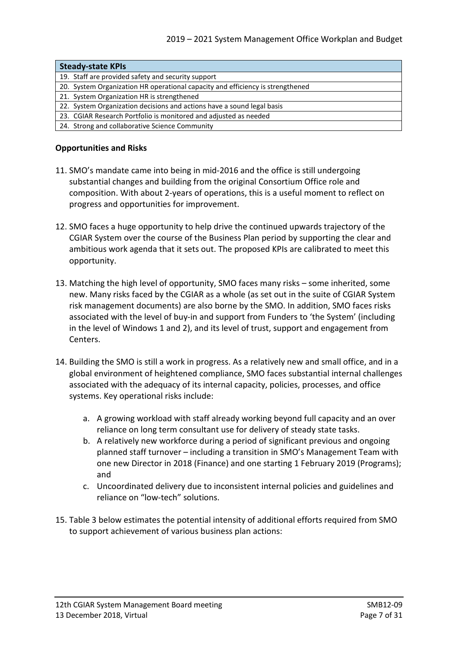| <b>Steady-state KPIs</b>                                                       |
|--------------------------------------------------------------------------------|
| 19. Staff are provided safety and security support                             |
| 20. System Organization HR operational capacity and efficiency is strengthened |
| 21. System Organization HR is strengthened                                     |
| 22. System Organization decisions and actions have a sound legal basis         |
| 23. CGIAR Research Portfolio is monitored and adjusted as needed               |
| 24. Strong and collaborative Science Community                                 |

### **Opportunities and Risks**

- 11. SMO's mandate came into being in mid-2016 and the office is still undergoing substantial changes and building from the original Consortium Office role and composition. With about 2-years of operations, this is a useful moment to reflect on progress and opportunities for improvement.
- 12. SMO faces a huge opportunity to help drive the continued upwards trajectory of the CGIAR System over the course of the Business Plan period by supporting the clear and ambitious work agenda that it sets out. The proposed KPIs are calibrated to meet this opportunity.
- 13. Matching the high level of opportunity, SMO faces many risks some inherited, some new. Many risks faced by the CGIAR as a whole (as set out in the [suite of CGIAR System](https://www.cgiar.org/how-we-work/accountability/legal-documents/)  [risk management documents\)](https://www.cgiar.org/how-we-work/accountability/legal-documents/) are also borne by the SMO. In addition, SMO faces risks associated with the level of buy-in and support from Funders to 'the System' (including in the level of Windows 1 and 2), and its level of trust, support and engagement from Centers.
- 14. Building the SMO is still a work in progress. As a relatively new and small office, and in a global environment of heightened compliance, SMO faces substantial internal challenges associated with the adequacy of its internal capacity, policies, processes, and office systems. Key operational risks include:
	- a. A growing workload with staff already working beyond full capacity and an over reliance on long term consultant use for delivery of steady state tasks.
	- b. A relatively new workforce during a period of significant previous and ongoing planned staff turnover – including a transition in SMO's Management Team with one new Director in 2018 (Finance) and one starting 1 February 2019 (Programs); and
	- c. Uncoordinated delivery due to inconsistent internal policies and guidelines and reliance on "low-tech" solutions.
- 15. Table 3 below estimates the potential intensity of additional efforts required from SMO to support achievement of various business plan actions: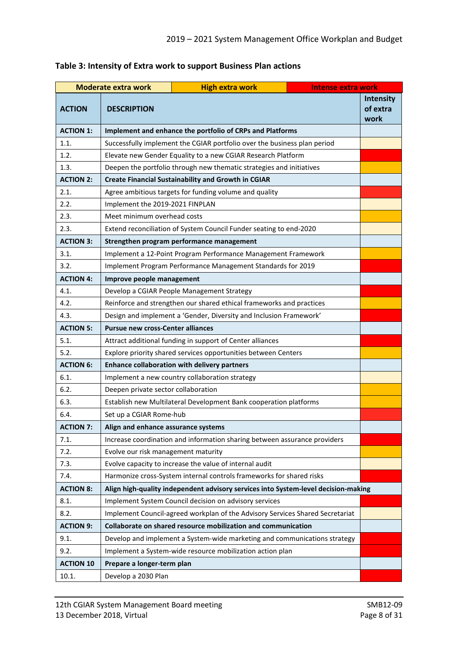| <b>Moderate extra work</b> |                                          | <b>High extra work</b>                                                             | <b>Intense extra work</b> |                                      |
|----------------------------|------------------------------------------|------------------------------------------------------------------------------------|---------------------------|--------------------------------------|
| <b>ACTION</b>              | <b>DESCRIPTION</b>                       |                                                                                    |                           | <b>Intensity</b><br>of extra<br>work |
| <b>ACTION 1:</b>           |                                          | Implement and enhance the portfolio of CRPs and Platforms                          |                           |                                      |
| 1.1.                       |                                          | Successfully implement the CGIAR portfolio over the business plan period           |                           |                                      |
| 1.2.                       |                                          | Elevate new Gender Equality to a new CGIAR Research Platform                       |                           |                                      |
| 1.3.                       |                                          | Deepen the portfolio through new thematic strategies and initiatives               |                           |                                      |
| <b>ACTION 2:</b>           |                                          | <b>Create Financial Sustainability and Growth in CGIAR</b>                         |                           |                                      |
| 2.1.                       |                                          | Agree ambitious targets for funding volume and quality                             |                           |                                      |
| 2.2.                       | Implement the 2019-2021 FINPLAN          |                                                                                    |                           |                                      |
| 2.3.                       | Meet minimum overhead costs              |                                                                                    |                           |                                      |
| 2.3.                       |                                          | Extend reconciliation of System Council Funder seating to end-2020                 |                           |                                      |
| <b>ACTION 3:</b>           |                                          | Strengthen program performance management                                          |                           |                                      |
| 3.1.                       |                                          | Implement a 12-Point Program Performance Management Framework                      |                           |                                      |
| 3.2.                       |                                          | Implement Program Performance Management Standards for 2019                        |                           |                                      |
| <b>ACTION 4:</b>           | Improve people management                |                                                                                    |                           |                                      |
| 4.1.                       |                                          | Develop a CGIAR People Management Strategy                                         |                           |                                      |
| 4.2.                       |                                          | Reinforce and strengthen our shared ethical frameworks and practices               |                           |                                      |
| 4.3.                       |                                          | Design and implement a 'Gender, Diversity and Inclusion Framework'                 |                           |                                      |
| <b>ACTION 5:</b>           | <b>Pursue new cross-Center alliances</b> |                                                                                    |                           |                                      |
| 5.1.                       |                                          | Attract additional funding in support of Center alliances                          |                           |                                      |
| 5.2.                       |                                          | Explore priority shared services opportunities between Centers                     |                           |                                      |
| <b>ACTION 6:</b>           |                                          | <b>Enhance collaboration with delivery partners</b>                                |                           |                                      |
| 6.1.                       |                                          | Implement a new country collaboration strategy                                     |                           |                                      |
| 6.2.                       | Deepen private sector collaboration      |                                                                                    |                           |                                      |
| 6.3.                       |                                          | Establish new Multilateral Development Bank cooperation platforms                  |                           |                                      |
| 6.4.                       | Set up a CGIAR Rome-hub                  |                                                                                    |                           |                                      |
| <b>ACTION 7:</b>           | Align and enhance assurance systems      |                                                                                    |                           |                                      |
| 7.1.                       |                                          | Increase coordination and information sharing between assurance providers          |                           |                                      |
| 7.2.                       | Evolve our risk management maturity      |                                                                                    |                           |                                      |
| 7.3.                       |                                          | Evolve capacity to increase the value of internal audit                            |                           |                                      |
| 7.4.                       |                                          | Harmonize cross-System internal controls frameworks for shared risks               |                           |                                      |
| <b>ACTION 8:</b>           |                                          | Align high-quality independent advisory services into System-level decision-making |                           |                                      |
| 8.1.                       |                                          | Implement System Council decision on advisory services                             |                           |                                      |
| 8.2.                       |                                          | Implement Council-agreed workplan of the Advisory Services Shared Secretariat      |                           |                                      |
| <b>ACTION 9:</b>           |                                          | Collaborate on shared resource mobilization and communication                      |                           |                                      |
| 9.1.                       |                                          | Develop and implement a System-wide marketing and communications strategy          |                           |                                      |
| 9.2.                       |                                          | Implement a System-wide resource mobilization action plan                          |                           |                                      |
| <b>ACTION 10</b>           | Prepare a longer-term plan               |                                                                                    |                           |                                      |
| 10.1.                      | Develop a 2030 Plan                      |                                                                                    |                           |                                      |

## **Table 3: Intensity of Extra work to support Business Plan actions**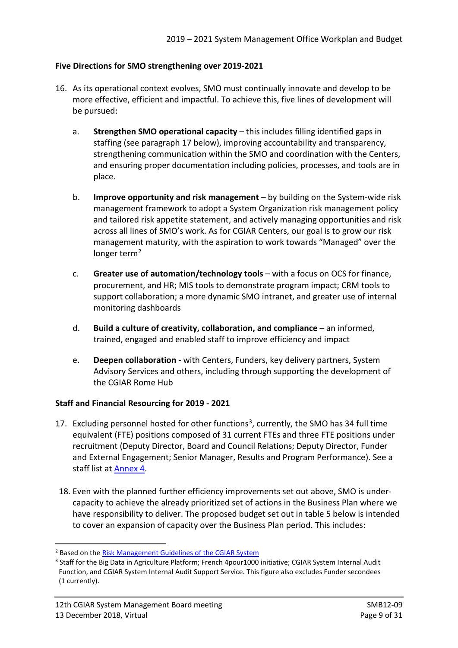### **Five Directions for SMO strengthening over 2019-2021**

- 16. As its operational context evolves, SMO must continually innovate and develop to be more effective, efficient and impactful. To achieve this, five lines of development will be pursued:
	- a. **Strengthen SMO operational capacity** this includes filling identified gaps in staffing (see paragraph [17](#page-8-0) below), improving accountability and transparency, strengthening communication within the SMO and coordination with the Centers, and ensuring proper documentation including policies, processes, and tools are in place.
	- b. **Improve opportunity and risk management** by building on the System-wide risk management framework to adopt a System Organization risk management policy and tailored risk appetite statement, and actively managing opportunities and risk across all lines of SMO's work. As for CGIAR Centers, our goal is to grow our risk management maturity, with the aspiration to work towards "Managed" over the longer term<sup>[2](#page-8-1)</sup>
	- c. **Greater use of automation/technology tools**  with a focus on OCS for finance, procurement, and HR; MIS tools to demonstrate program impact; CRM tools to support collaboration; a more dynamic SMO intranet, and greater use of internal monitoring dashboards
	- d. **Build a culture of creativity, collaboration, and compliance an informed,** trained, engaged and enabled staff to improve efficiency and impact
	- e. **Deepen collaboration**  with Centers, Funders, key delivery partners, System Advisory Services and others, including through supporting the development of the CGIAR Rome Hub

### **Staff and Financial Resourcing for 2019 - 2021**

- 17. Excluding personnel hosted for other functions<sup>3</sup>, currently, the SMO has 34 full time equivalent (FTE) positions composed of 31 current FTEs and three FTE positions under recruitment (Deputy Director, Board and Council Relations; Deputy Director, Funder and External Engagement; Senior Manager, Results and Program Performance). See a staff list at [Annex](#page-28-0) 4.
- <span id="page-8-0"></span>18. Even with the planned further efficiency improvements set out above, SMO is undercapacity to achieve the already prioritized set of actions in the Business Plan where we have responsibility to deliver. The proposed budget set out in table 5 below is intended to cover an expansion of capacity over the Business Plan period. This includes:

<span id="page-8-1"></span><sup>&</sup>lt;sup>2</sup> Based on the Risk [Management](https://www.cgiar.org/wp/wp-content/uploads/2018/07/CGIAR-System_Risk-Mgmt-Guidelines-APPROVED.pdf) Guidelines of the CGIAR System

<span id="page-8-2"></span><sup>&</sup>lt;sup>3</sup> Staff for the Big Data in Agriculture Platform; French 4pour1000 initiative; CGIAR System Internal Audit Function, and CGIAR System Internal Audit Support Service. This figure also excludes Funder secondees (1 currently).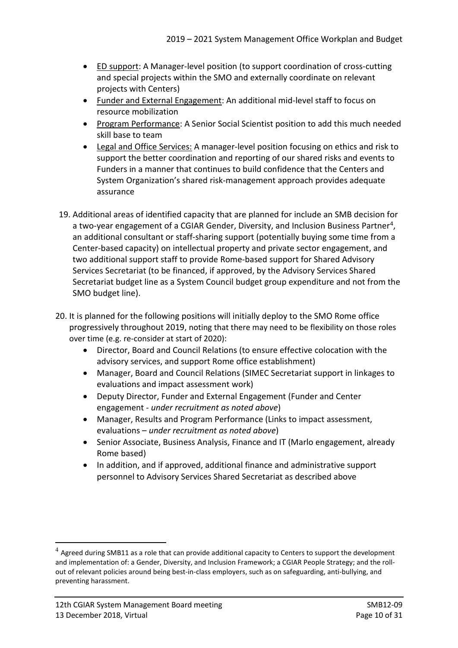- ED support: A Manager-level position (to support coordination of cross-cutting and special projects within the SMO and externally coordinate on relevant projects with Centers)
- Funder and External Engagement: An additional mid-level staff to focus on resource mobilization
- Program Performance: A Senior Social Scientist position to add this much needed skill base to team
- Legal and Office Services: A manager-level position focusing on ethics and risk to support the better coordination and reporting of our shared risks and events to Funders in a manner that continues to build confidence that the Centers and System Organization's shared risk-management approach provides adequate assurance
- 19. Additional areas of identified capacity that are planned for include an SMB decision for a two-year engagement of a CGIAR Gender, Diversity, and Inclusion Business Partner<sup>[4](#page-9-0)</sup>, an additional consultant or staff-sharing support (potentially buying some time from a Center-based capacity) on intellectual property and private sector engagement, and two additional support staff to provide Rome-based support for Shared Advisory Services Secretariat (to be financed, if approved, by the Advisory Services Shared Secretariat budget line as a System Council budget group expenditure and not from the SMO budget line).
- 20. It is planned for the following positions will initially deploy to the SMO Rome office progressively throughout 2019, noting that there may need to be flexibility on those roles over time (e.g. re-consider at start of 2020):
	- Director, Board and Council Relations (to ensure effective colocation with the advisory services, and support Rome office establishment)
	- Manager, Board and Council Relations (SIMEC Secretariat support in linkages to evaluations and impact assessment work)
	- Deputy Director, Funder and External Engagement (Funder and Center engagement - *under recruitment as noted above*)
	- Manager, Results and Program Performance (Links to impact assessment, evaluations – *under recruitment as noted above*)
	- Senior Associate, Business Analysis, Finance and IT (Marlo engagement, already Rome based)
	- In addition, and if approved, additional finance and administrative support personnel to Advisory Services Shared Secretariat as described above

 $\overline{\phantom{a}}$ 

<span id="page-9-0"></span> $4$  Agreed during SMB11 as a role that can provide additional capacity to Centers to support the development and implementation of: a Gender, Diversity, and Inclusion Framework; a CGIAR People Strategy; and the rollout of relevant policies around being best-in-class employers, such as on safeguarding, anti-bullying, and preventing harassment.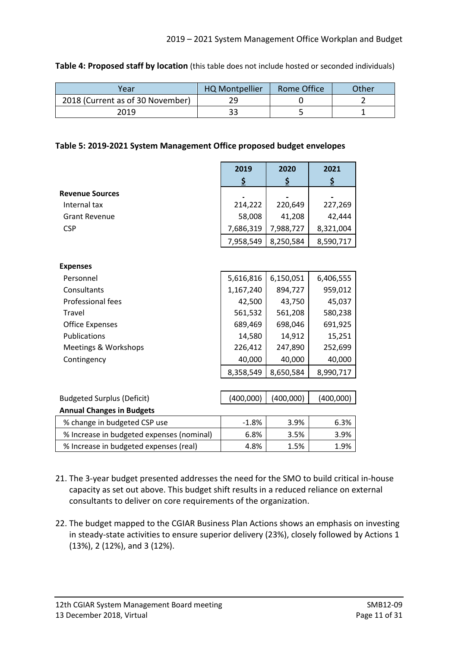| Year                             | <b>HQ Montpellier</b> | Rome Office | ่วther |
|----------------------------------|-----------------------|-------------|--------|
| 2018 (Current as of 30 November) |                       |             |        |
| 2019                             |                       |             |        |

**Table 4: Proposed staff by location** (this table does not include hosted or seconded individuals)

### **Table 5: 2019-2021 System Management Office proposed budget envelopes**

|                                           | 2019      | 2020      | 2021      |
|-------------------------------------------|-----------|-----------|-----------|
|                                           | \$        | \$        | \$        |
| <b>Revenue Sources</b>                    |           |           |           |
| Internal tax                              | 214,222   | 220,649   | 227,269   |
| <b>Grant Revenue</b>                      | 58,008    | 41,208    | 42,444    |
| <b>CSP</b>                                | 7,686,319 | 7,988,727 | 8,321,004 |
|                                           | 7,958,549 | 8,250,584 | 8,590,717 |
| <b>Expenses</b>                           |           |           |           |
| Personnel                                 | 5,616,816 | 6,150,051 | 6,406,555 |
| Consultants                               | 1,167,240 | 894,727   | 959,012   |
| Professional fees                         | 42,500    | 43,750    | 45,037    |
| Travel                                    | 561,532   | 561,208   | 580,238   |
| <b>Office Expenses</b>                    | 689,469   | 698,046   | 691,925   |
| Publications                              | 14,580    | 14,912    | 15,251    |
| Meetings & Workshops                      | 226,412   | 247,890   | 252,699   |
| Contingency                               | 40,000    | 40,000    | 40,000    |
|                                           | 8,358,549 | 8,650,584 | 8,990,717 |
|                                           |           |           |           |
| <b>Budgeted Surplus (Deficit)</b>         | (400,000) | (400,000) | (400,000) |
| <b>Annual Changes in Budgets</b>          |           |           |           |
| % change in budgeted CSP use              | $-1.8%$   | 3.9%      | 6.3%      |
| % Increase in budgeted expenses (nominal) | 6.8%      | 3.5%      | 3.9%      |
| % Increase in budgeted expenses (real)    | 4.8%      | 1.5%      | 1.9%      |

- 21. The 3-year budget presented addresses the need for the SMO to build critical in-house capacity as set out above. This budget shift results in a reduced reliance on external consultants to deliver on core requirements of the organization.
- 22. The budget mapped to the CGIAR Business Plan Actions shows an emphasis on investing in steady-state activities to ensure superior delivery (23%), closely followed by Actions 1 (13%), 2 (12%), and 3 (12%).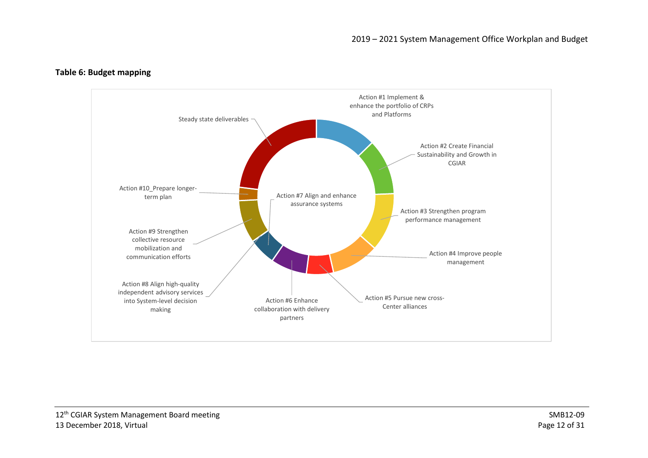

### **Table 6: Budget mapping**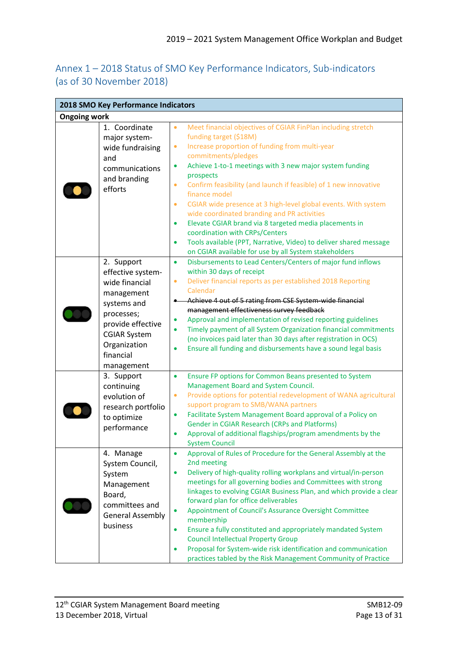# <span id="page-12-0"></span>Annex 1 – 2018 Status of SMO Key Performance Indicators, Sub-indicators (as of 30 November 2018)

| 2018 SMO Key Performance Indicators |                                                                                                                                                                                     |                                                                                                                                                                                                                                                                                                                                                                                                                                                                                                                                                                                                                                                                                                                                                                    |
|-------------------------------------|-------------------------------------------------------------------------------------------------------------------------------------------------------------------------------------|--------------------------------------------------------------------------------------------------------------------------------------------------------------------------------------------------------------------------------------------------------------------------------------------------------------------------------------------------------------------------------------------------------------------------------------------------------------------------------------------------------------------------------------------------------------------------------------------------------------------------------------------------------------------------------------------------------------------------------------------------------------------|
| <b>Ongoing work</b>                 |                                                                                                                                                                                     |                                                                                                                                                                                                                                                                                                                                                                                                                                                                                                                                                                                                                                                                                                                                                                    |
|                                     | 1. Coordinate<br>major system-<br>wide fundraising<br>and<br>communications<br>and branding<br>efforts                                                                              | Meet financial objectives of CGIAR FinPlan including stretch<br>$\bullet$<br>funding target (\$18M)<br>Increase proportion of funding from multi-year<br>$\bullet$<br>commitments/pledges<br>Achieve 1-to-1 meetings with 3 new major system funding<br>$\bullet$<br>prospects<br>Confirm feasibility (and launch if feasible) of 1 new innovative<br>$\bullet$<br>finance model<br>CGIAR wide presence at 3 high-level global events. With system<br>$\bullet$<br>wide coordinated branding and PR activities<br>Elevate CGIAR brand via 8 targeted media placements in<br>$\bullet$<br>coordination with CRPs/Centers<br>Tools available (PPT, Narrative, Video) to deliver shared message<br>$\bullet$<br>on CGIAR available for use by all System stakeholders |
|                                     | 2. Support<br>effective system-<br>wide financial<br>management<br>systems and<br>processes;<br>provide effective<br><b>CGIAR System</b><br>Organization<br>financial<br>management | Disbursements to Lead Centers/Centers of major fund inflows<br>$\bullet$<br>within 30 days of receipt<br>Deliver financial reports as per established 2018 Reporting<br>$\bullet$<br>Calendar<br>Achieve 4 out of 5 rating from CSE System-wide financial<br>management effectiveness survey feedback<br>Approval and implementation of revised reporting guidelines<br>$\bullet$<br>Timely payment of all System Organization financial commitments<br>$\bullet$<br>(no invoices paid later than 30 days after registration in OCS)<br>Ensure all funding and disbursements have a sound legal basis<br>$\bullet$                                                                                                                                                 |
|                                     | 3. Support<br>continuing<br>evolution of<br>research portfolio<br>to optimize<br>performance                                                                                        | Ensure FP options for Common Beans presented to System<br>$\bullet$<br>Management Board and System Council.<br>Provide options for potential redevelopment of WANA agricultural<br>$\bullet$<br>support program to SMB/WANA partners<br>Facilitate System Management Board approval of a Policy on<br>$\bullet$<br><b>Gender in CGIAR Research (CRPs and Platforms)</b><br>Approval of additional flagships/program amendments by the<br><b>System Council</b>                                                                                                                                                                                                                                                                                                     |
|                                     | 4. Manage<br>System Council,<br>System<br>Management<br>Board,<br>committees and<br><b>General Assembly</b><br>business                                                             | Approval of Rules of Procedure for the General Assembly at the<br>$\bullet$<br>2nd meeting<br>Delivery of high-quality rolling workplans and virtual/in-person<br>$\bullet$<br>meetings for all governing bodies and Committees with strong<br>linkages to evolving CGIAR Business Plan, and which provide a clear<br>forward plan for office deliverables<br>Appointment of Council's Assurance Oversight Committee<br>$\bullet$<br>membership<br>Ensure a fully constituted and appropriately mandated System<br>$\bullet$<br><b>Council Intellectual Property Group</b><br>Proposal for System-wide risk identification and communication<br>$\bullet$<br>practices tabled by the Risk Management Community of Practice                                         |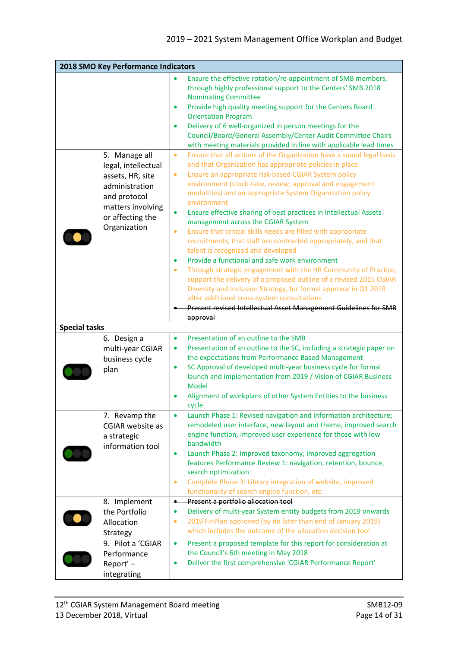|                      | 2018 SMO Key Performance Indicators                                                                                                                 |                                                                                                                                                                                                                                                                                                                                                                                                                                                                                                                                                                                                                                                                                                                                                                                                                                                                                                                                                                                                                                                                                                  |  |
|----------------------|-----------------------------------------------------------------------------------------------------------------------------------------------------|--------------------------------------------------------------------------------------------------------------------------------------------------------------------------------------------------------------------------------------------------------------------------------------------------------------------------------------------------------------------------------------------------------------------------------------------------------------------------------------------------------------------------------------------------------------------------------------------------------------------------------------------------------------------------------------------------------------------------------------------------------------------------------------------------------------------------------------------------------------------------------------------------------------------------------------------------------------------------------------------------------------------------------------------------------------------------------------------------|--|
|                      |                                                                                                                                                     | Ensure the effective rotation/re-appointment of SMB members,<br>through highly professional support to the Centers' SMB 2018<br><b>Nominating Committee</b><br>Provide high quality meeting support for the Centers Board<br>$\bullet$<br><b>Orientation Program</b><br>Delivery of 6 well-organized in person meetings for the<br>$\bullet$<br>Council/Board/General Assembly/Center Audit Committee Chairs<br>with meeting materials provided in line with applicable lead times                                                                                                                                                                                                                                                                                                                                                                                                                                                                                                                                                                                                               |  |
|                      | 5. Manage all<br>legal, intellectual<br>assets, HR, site<br>administration<br>and protocol<br>matters involving<br>or affecting the<br>Organization | Ensure that all actions of the Organization have a sound legal basis<br>$\bullet$<br>and that Organization has appropriate policies in place<br>Ensure an appropriate risk-based CGIAR System policy<br>$\bullet$<br>environment (stock-take, review, approval and engagement<br>modalities) and an appropriate System Organization policy<br>environment<br>Ensure effective sharing of best practices in Intellectual Assets<br>$\bullet$<br>management across the CGIAR System<br>Ensure that critical skills needs are filled with appropriate<br>$\bullet$<br>recruitments, that staff are contracted appropriately, and that<br>talent is recognized and developed<br>Provide a functional and safe work environment<br>$\bullet$<br>Through strategic engagement with the HR Community of Practice,<br>$\bullet$<br>support the delivery of a proposed outline of a revised 2015 CGIAR<br>Diversity and Inclusion Strategy, for formal approval in Q1 2019<br>after additional cross-system consultations<br>Present revised Intellectual Asset Management Guidelines for SMB<br>approval |  |
| <b>Special tasks</b> |                                                                                                                                                     |                                                                                                                                                                                                                                                                                                                                                                                                                                                                                                                                                                                                                                                                                                                                                                                                                                                                                                                                                                                                                                                                                                  |  |
|                      | 6. Design a<br>multi-year CGIAR<br>business cycle<br>plan                                                                                           | Presentation of an outline to the SMB<br>$\bullet$<br>Presentation of an outline to the SC, including a strategic paper on<br>$\bullet$<br>the expectations from Performance Based Management<br>SC Approval of developed multi-year business cycle for formal<br>$\bullet$<br>launch and implementation from 2019 / Vision of CGIAR Business<br>Model<br>Alignment of workplans of other System Entities to the business<br>cycle                                                                                                                                                                                                                                                                                                                                                                                                                                                                                                                                                                                                                                                               |  |
|                      | 7. Revamp the<br>CGIAR website as<br>a strategic<br>information tool                                                                                | Launch Phase 1: Revised navigation and information architecture;<br>$\bullet$<br>remodeled user interface, new layout and theme, improved search<br>engine function, improved user experience for those with low<br>bandwidth<br>Launch Phase 2: Improved taxonomy, improved aggregation<br>$\bullet$<br>features Performance Review 1: navigation, retention, bounce,<br>search optimization<br>Complete Phase 3: Library integration of website, improved<br>$\bullet$<br>functionality of search engine function, etc.                                                                                                                                                                                                                                                                                                                                                                                                                                                                                                                                                                        |  |
|                      | 8. Implement                                                                                                                                        | Present a portfolio allocation tool<br>$\bullet$                                                                                                                                                                                                                                                                                                                                                                                                                                                                                                                                                                                                                                                                                                                                                                                                                                                                                                                                                                                                                                                 |  |
|                      | the Portfolio<br>Allocation<br>Strategy                                                                                                             | Delivery of multi-year System entity budgets from 2019 onwards<br>$\bullet$<br>2019 FinPlan approved (by no later than end of January 2019)<br>$\bullet$<br>which includes the outcome of the allocation decision tool                                                                                                                                                                                                                                                                                                                                                                                                                                                                                                                                                                                                                                                                                                                                                                                                                                                                           |  |
|                      | 9. Pilot a 'CGIAR<br>Performance<br>Report'-<br>integrating                                                                                         | Present a proposed template for this report for consideration at<br>$\bullet$<br>the Council's 6th meeting in May 2018<br>Deliver the first comprehensive 'CGIAR Performance Report'<br>$\bullet$                                                                                                                                                                                                                                                                                                                                                                                                                                                                                                                                                                                                                                                                                                                                                                                                                                                                                                |  |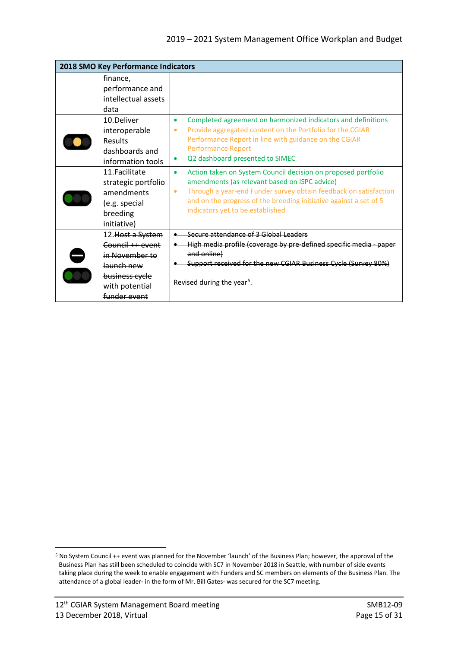| 2018 SMO Key Performance Indicators |                                                                                                                           |                                                                                                                                                                                                                                                                                                               |
|-------------------------------------|---------------------------------------------------------------------------------------------------------------------------|---------------------------------------------------------------------------------------------------------------------------------------------------------------------------------------------------------------------------------------------------------------------------------------------------------------|
|                                     | finance,<br>performance and<br>intellectual assets<br>data                                                                |                                                                                                                                                                                                                                                                                                               |
|                                     | 10.Deliver<br>interoperable<br>Results<br>dashboards and<br>information tools                                             | Completed agreement on harmonized indicators and definitions<br>۰<br>Provide aggregated content on the Portfolio for the CGIAR<br>$\bullet$<br>Performance Report in line with guidance on the CGIAR<br><b>Performance Report</b><br>Q2 dashboard presented to SIMEC<br>۰                                     |
|                                     | 11. Facilitate<br>strategic portfolio<br>amendments<br>(e.g. special<br>breeding<br>initiative)                           | Action taken on System Council decision on proposed portfolio<br>٠<br>amendments (as relevant based on ISPC advice)<br>Through a year-end Funder survey obtain feedback on satisfaction<br>$\bullet$<br>and on the progress of the breeding initiative against a set of 5<br>indicators yet to be established |
|                                     | 12. Host a System<br>Council ++ event<br>in November to<br>launch new<br>business cycle<br>with potential<br>funder event | Secure attendance of 3 Global Leaders<br>High media profile (coverage by pre-defined specific media - paper<br>and online)<br>Support received for the new CGIAR Business Cycle (Survey 80%)<br>Revised during the year <sup>5</sup> .                                                                        |

<span id="page-14-0"></span> <sup>5</sup> No System Council ++ event was planned for the November 'launch' of the Business Plan; however, the approval of the Business Plan has still been scheduled to coincide with SC7 in November 2018 in Seattle, with number of side events taking place during the week to enable engagement with Funders and SC members on elements of the Business Plan. The attendance of a global leader- in the form of Mr. Bill Gates- was secured for the SC7 meeting.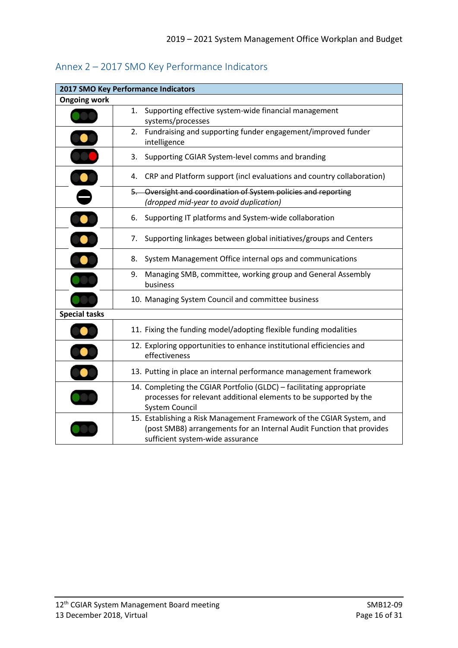|                         | 2017 SMO Key Performance Indicators                                                                                                                                                |
|-------------------------|------------------------------------------------------------------------------------------------------------------------------------------------------------------------------------|
|                         |                                                                                                                                                                                    |
| <b>Ongoing work</b>     |                                                                                                                                                                                    |
|                         | Supporting effective system-wide financial management<br>1.<br>systems/processes                                                                                                   |
|                         | 2. Fundraising and supporting funder engagement/improved funder<br>intelligence                                                                                                    |
| $\overline{\mathbf{u}}$ | 3. Supporting CGIAR System-level comms and branding                                                                                                                                |
|                         | 4. CRP and Platform support (incl evaluations and country collaboration)                                                                                                           |
|                         | 5. Oversight and coordination of System policies and reporting                                                                                                                     |
|                         | (dropped mid-year to avoid duplication)                                                                                                                                            |
| ied<br>O                | Supporting IT platforms and System-wide collaboration<br>6.                                                                                                                        |
|                         | Supporting linkages between global initiatives/groups and Centers<br>7.                                                                                                            |
|                         | System Management Office internal ops and communications<br>8.                                                                                                                     |
| <b>OCO</b>              | Managing SMB, committee, working group and General Assembly<br>9.<br>business                                                                                                      |
|                         | 10. Managing System Council and committee business                                                                                                                                 |
| <b>Special tasks</b>    |                                                                                                                                                                                    |
|                         | 11. Fixing the funding model/adopting flexible funding modalities                                                                                                                  |
|                         | 12. Exploring opportunities to enhance institutional efficiencies and<br>effectiveness                                                                                             |
|                         | 13. Putting in place an internal performance management framework                                                                                                                  |
|                         | 14. Completing the CGIAR Portfolio (GLDC) - facilitating appropriate<br>processes for relevant additional elements to be supported by the<br>System Council                        |
|                         | 15. Establishing a Risk Management Framework of the CGIAR System, and<br>(post SMB8) arrangements for an Internal Audit Function that provides<br>sufficient system-wide assurance |

# <span id="page-15-0"></span>Annex 2 – 2017 SMO Key Performance Indicators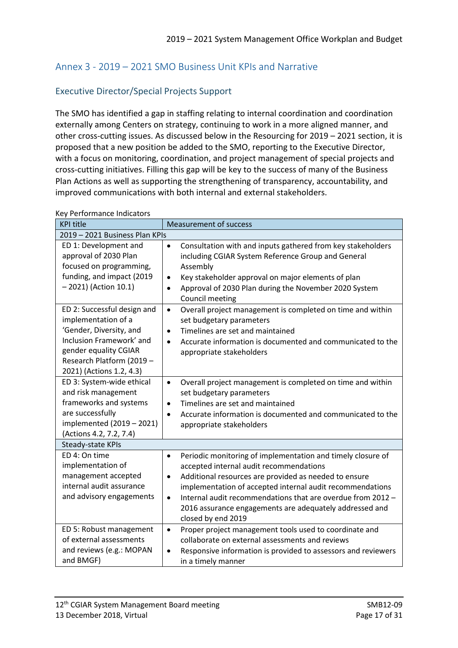# Annex 3 - 2019 – 2021 SMO Business Unit KPIs and Narrative

## Executive Director/Special Projects Support

The SMO has identified a gap in staffing relating to internal coordination and coordination externally among Centers on strategy, continuing to work in a more aligned manner, and other cross-cutting issues. As discussed below in the Resourcing for 2019 – 2021 section, it is proposed that a new position be added to the SMO, reporting to the Executive Director, with a focus on monitoring, coordination, and project management of special projects and cross-cutting initiatives. Filling this gap will be key to the success of many of the Business Plan Actions as well as supporting the strengthening of transparency, accountability, and improved communications with both internal and external stakeholders.

| <b>KPI title</b>                                                                                                                                                                            | <b>Measurement of success</b>                                                                                                                                                                                                                                                                                                                                                                                       |
|---------------------------------------------------------------------------------------------------------------------------------------------------------------------------------------------|---------------------------------------------------------------------------------------------------------------------------------------------------------------------------------------------------------------------------------------------------------------------------------------------------------------------------------------------------------------------------------------------------------------------|
| 2019 - 2021 Business Plan KPIs                                                                                                                                                              |                                                                                                                                                                                                                                                                                                                                                                                                                     |
| ED 1: Development and<br>approval of 2030 Plan<br>focused on programming,<br>funding, and impact (2019<br>$-2021$ ) (Action 10.1)                                                           | Consultation with and inputs gathered from key stakeholders<br>$\bullet$<br>including CGIAR System Reference Group and General<br>Assembly<br>Key stakeholder approval on major elements of plan<br>٠<br>Approval of 2030 Plan during the November 2020 System<br>$\bullet$<br>Council meeting                                                                                                                      |
| ED 2: Successful design and<br>implementation of a<br>'Gender, Diversity, and<br>Inclusion Framework' and<br>gender equality CGIAR<br>Research Platform (2019 -<br>2021) (Actions 1.2, 4.3) | Overall project management is completed on time and within<br>$\bullet$<br>set budgetary parameters<br>Timelines are set and maintained<br>$\bullet$<br>Accurate information is documented and communicated to the<br>$\bullet$<br>appropriate stakeholders                                                                                                                                                         |
| ED 3: System-wide ethical<br>and risk management<br>frameworks and systems<br>are successfully<br>implemented (2019 - 2021)<br>(Actions 4.2, 7.2, 7.4)                                      | Overall project management is completed on time and within<br>$\bullet$<br>set budgetary parameters<br>Timelines are set and maintained<br>$\bullet$<br>Accurate information is documented and communicated to the<br>$\bullet$<br>appropriate stakeholders                                                                                                                                                         |
| Steady-state KPIs                                                                                                                                                                           |                                                                                                                                                                                                                                                                                                                                                                                                                     |
| ED 4: On time<br>implementation of<br>management accepted<br>internal audit assurance<br>and advisory engagements                                                                           | Periodic monitoring of implementation and timely closure of<br>$\bullet$<br>accepted internal audit recommendations<br>Additional resources are provided as needed to ensure<br>$\bullet$<br>implementation of accepted internal audit recommendations<br>Internal audit recommendations that are overdue from 2012 -<br>$\bullet$<br>2016 assurance engagements are adequately addressed and<br>closed by end 2019 |
| ED 5: Robust management<br>of external assessments<br>and reviews (e.g.: MOPAN<br>and BMGF)                                                                                                 | Proper project management tools used to coordinate and<br>$\bullet$<br>collaborate on external assessments and reviews<br>Responsive information is provided to assessors and reviewers<br>$\bullet$<br>in a timely manner                                                                                                                                                                                          |

Key Performance Indicators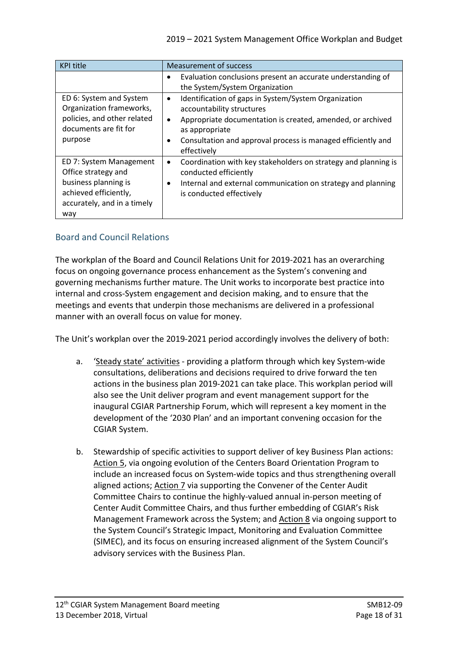| <b>KPI title</b>                                                                                                                      | <b>Measurement of success</b>                                                                                                                                                                                                                                              |
|---------------------------------------------------------------------------------------------------------------------------------------|----------------------------------------------------------------------------------------------------------------------------------------------------------------------------------------------------------------------------------------------------------------------------|
|                                                                                                                                       | Evaluation conclusions present an accurate understanding of<br>٠<br>the System/System Organization                                                                                                                                                                         |
| ED 6: System and System<br>Organization frameworks,<br>policies, and other related<br>documents are fit for<br>purpose                | Identification of gaps in System/System Organization<br>$\bullet$<br>accountability structures<br>Appropriate documentation is created, amended, or archived<br>$\bullet$<br>as appropriate<br>Consultation and approval process is managed efficiently and<br>effectively |
| ED 7: System Management<br>Office strategy and<br>business planning is<br>achieved efficiently,<br>accurately, and in a timely<br>way | Coordination with key stakeholders on strategy and planning is<br>٠<br>conducted efficiently<br>Internal and external communication on strategy and planning<br>٠<br>is conducted effectively                                                                              |

## Board and Council Relations

The workplan of the Board and Council Relations Unit for 2019-2021 has an overarching focus on ongoing governance process enhancement as the System's convening and governing mechanisms further mature. The Unit works to incorporate best practice into internal and cross-System engagement and decision making, and to ensure that the meetings and events that underpin those mechanisms are delivered in a professional manner with an overall focus on value for money.

The Unit's workplan over the 2019-2021 period accordingly involves the delivery of both:

- a. 'Steady state' activities providing a platform through which key System-wide consultations, deliberations and decisions required to drive forward the ten actions in the business plan 2019-2021 can take place. This workplan period will also see the Unit deliver program and event management support for the inaugural CGIAR Partnership Forum, which will represent a key moment in the development of the '2030 Plan' and an important convening occasion for the CGIAR System.
- b. Stewardship of specific activities to support deliver of key Business Plan actions: Action 5, via ongoing evolution of the Centers Board Orientation Program to include an increased focus on System-wide topics and thus strengthening overall aligned actions; Action 7 via supporting the Convener of the Center Audit Committee Chairs to continue the highly-valued annual in-person meeting of Center Audit Committee Chairs, and thus further embedding of CGIAR's Risk Management Framework across the System; and Action 8 via ongoing support to the System Council's Strategic Impact, Monitoring and Evaluation Committee (SIMEC), and its focus on ensuring increased alignment of the System Council's advisory services with the Business Plan.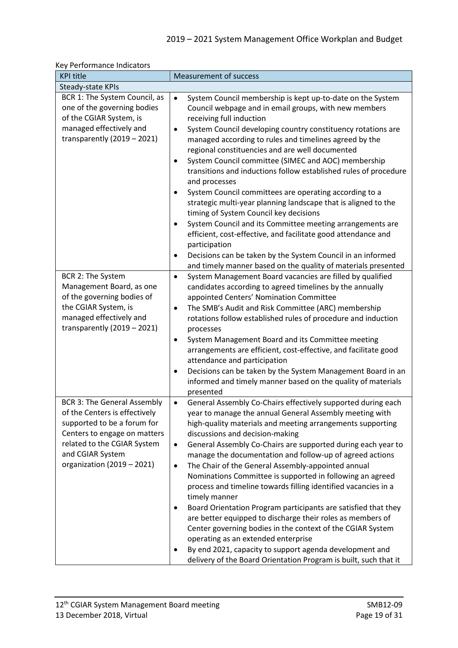| <b>KPI title</b>                                                                                                                                                                                                    | <b>Measurement of success</b>                                                                                                                                                                                                                                                                                                                                                                                                                                                                                                                                                                                                                                                                                                                                                                                                                                                                                                                                      |
|---------------------------------------------------------------------------------------------------------------------------------------------------------------------------------------------------------------------|--------------------------------------------------------------------------------------------------------------------------------------------------------------------------------------------------------------------------------------------------------------------------------------------------------------------------------------------------------------------------------------------------------------------------------------------------------------------------------------------------------------------------------------------------------------------------------------------------------------------------------------------------------------------------------------------------------------------------------------------------------------------------------------------------------------------------------------------------------------------------------------------------------------------------------------------------------------------|
| Steady-state KPIs                                                                                                                                                                                                   |                                                                                                                                                                                                                                                                                                                                                                                                                                                                                                                                                                                                                                                                                                                                                                                                                                                                                                                                                                    |
| BCR 1: The System Council, as<br>one of the governing bodies<br>of the CGIAR System, is<br>managed effectively and<br>transparently $(2019 - 2021)$                                                                 | System Council membership is kept up-to-date on the System<br>$\bullet$<br>Council webpage and in email groups, with new members<br>receiving full induction<br>System Council developing country constituency rotations are<br>managed according to rules and timelines agreed by the<br>regional constituencies and are well documented<br>System Council committee (SIMEC and AOC) membership<br>٠<br>transitions and inductions follow established rules of procedure<br>and processes<br>System Council committees are operating according to a<br>٠<br>strategic multi-year planning landscape that is aligned to the<br>timing of System Council key decisions<br>System Council and its Committee meeting arrangements are<br>٠<br>efficient, cost-effective, and facilitate good attendance and<br>participation<br>Decisions can be taken by the System Council in an informed<br>٠                                                                      |
| BCR 2: The System<br>Management Board, as one<br>of the governing bodies of<br>the CGIAR System, is<br>managed effectively and<br>transparently $(2019 - 2021)$                                                     | and timely manner based on the quality of materials presented<br>System Management Board vacancies are filled by qualified<br>٠<br>candidates according to agreed timelines by the annually<br>appointed Centers' Nomination Committee<br>The SMB's Audit and Risk Committee (ARC) membership<br>٠<br>rotations follow established rules of procedure and induction<br>processes<br>System Management Board and its Committee meeting<br>٠<br>arrangements are efficient, cost-effective, and facilitate good<br>attendance and participation<br>Decisions can be taken by the System Management Board in an<br>٠<br>informed and timely manner based on the quality of materials<br>presented                                                                                                                                                                                                                                                                     |
| <b>BCR 3: The General Assembly</b><br>of the Centers is effectively<br>supported to be a forum for<br>Centers to engage on matters<br>related to the CGIAR System<br>and CGIAR System<br>organization (2019 - 2021) | General Assembly Co-Chairs effectively supported during each<br>$\bullet$<br>year to manage the annual General Assembly meeting with<br>high-quality materials and meeting arrangements supporting<br>discussions and decision-making<br>General Assembly Co-Chairs are supported during each year to<br>$\bullet$<br>manage the documentation and follow-up of agreed actions<br>The Chair of the General Assembly-appointed annual<br>٠<br>Nominations Committee is supported in following an agreed<br>process and timeline towards filling identified vacancies in a<br>timely manner<br>Board Orientation Program participants are satisfied that they<br>٠<br>are better equipped to discharge their roles as members of<br>Center governing bodies in the context of the CGIAR System<br>operating as an extended enterprise<br>By end 2021, capacity to support agenda development and<br>delivery of the Board Orientation Program is built, such that it |

Key Performance Indicators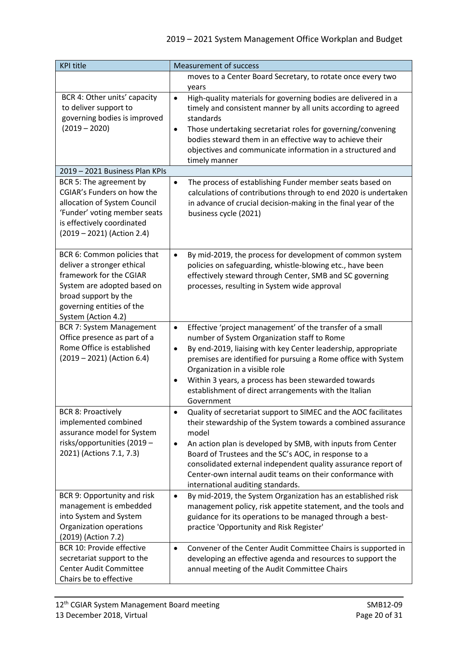| <b>KPI title</b>                                                                                                                                                                                | <b>Measurement of success</b>                                                                                                                                                                                                                                                                                                                                                                                                           |
|-------------------------------------------------------------------------------------------------------------------------------------------------------------------------------------------------|-----------------------------------------------------------------------------------------------------------------------------------------------------------------------------------------------------------------------------------------------------------------------------------------------------------------------------------------------------------------------------------------------------------------------------------------|
|                                                                                                                                                                                                 | moves to a Center Board Secretary, to rotate once every two<br>years                                                                                                                                                                                                                                                                                                                                                                    |
| BCR 4: Other units' capacity<br>to deliver support to<br>governing bodies is improved<br>$(2019 - 2020)$                                                                                        | High-quality materials for governing bodies are delivered in a<br>$\bullet$<br>timely and consistent manner by all units according to agreed<br>standards<br>Those undertaking secretariat roles for governing/convening<br>٠<br>bodies steward them in an effective way to achieve their<br>objectives and communicate information in a structured and<br>timely manner                                                                |
| 2019 - 2021 Business Plan KPIs                                                                                                                                                                  |                                                                                                                                                                                                                                                                                                                                                                                                                                         |
| BCR 5: The agreement by<br>CGIAR's Funders on how the<br>allocation of System Council<br>'Funder' voting member seats<br>is effectively coordinated<br>$(2019 - 2021)$ (Action 2.4)             | The process of establishing Funder member seats based on<br>$\bullet$<br>calculations of contributions through to end 2020 is undertaken<br>in advance of crucial decision-making in the final year of the<br>business cycle (2021)                                                                                                                                                                                                     |
| BCR 6: Common policies that<br>deliver a stronger ethical<br>framework for the CGIAR<br>System are adopted based on<br>broad support by the<br>governing entities of the<br>System (Action 4.2) | By mid-2019, the process for development of common system<br>$\bullet$<br>policies on safeguarding, whistle-blowing etc., have been<br>effectively steward through Center, SMB and SC governing<br>processes, resulting in System wide approval                                                                                                                                                                                         |
| <b>BCR 7: System Management</b><br>Office presence as part of a<br>Rome Office is established<br>$(2019 - 2021)$ (Action 6.4)                                                                   | Effective 'project management' of the transfer of a small<br>$\bullet$<br>number of System Organization staff to Rome<br>By end-2019, liaising with key Center leadership, appropriate<br>٠<br>premises are identified for pursuing a Rome office with System<br>Organization in a visible role<br>Within 3 years, a process has been stewarded towards<br>٠<br>establishment of direct arrangements with the Italian<br>Government     |
| <b>BCR 8: Proactively</b><br>implemented combined<br>assurance model for System<br>risks/opportunities (2019 -<br>2021) (Actions 7.1, 7.3)                                                      | Quality of secretariat support to SIMEC and the AOC facilitates<br>their stewardship of the System towards a combined assurance<br>model<br>An action plan is developed by SMB, with inputs from Center<br>٠<br>Board of Trustees and the SC's AOC, in response to a<br>consolidated external independent quality assurance report of<br>Center-own internal audit teams on their conformance with<br>international auditing standards. |
| BCR 9: Opportunity and risk<br>management is embedded<br>into System and System<br>Organization operations<br>(2019) (Action 7.2)<br><b>BCR 10: Provide effective</b>                           | By mid-2019, the System Organization has an established risk<br>$\bullet$<br>management policy, risk appetite statement, and the tools and<br>guidance for its operations to be managed through a best-<br>practice 'Opportunity and Risk Register'<br>Convener of the Center Audit Committee Chairs is supported in<br>$\bullet$                                                                                                       |
| secretariat support to the<br><b>Center Audit Committee</b><br>Chairs be to effective                                                                                                           | developing an effective agenda and resources to support the<br>annual meeting of the Audit Committee Chairs                                                                                                                                                                                                                                                                                                                             |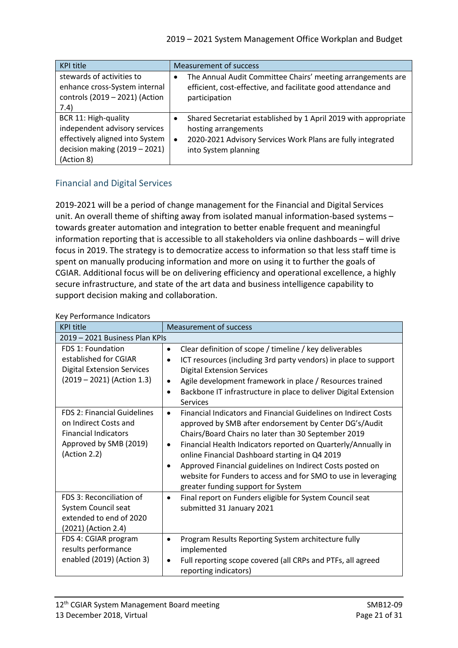| <b>KPI title</b>                                                                                                                          | <b>Measurement of success</b>                                                                                                                                                               |
|-------------------------------------------------------------------------------------------------------------------------------------------|---------------------------------------------------------------------------------------------------------------------------------------------------------------------------------------------|
| stewards of activities to<br>enhance cross-System internal<br>controls (2019 - 2021) (Action<br>7.4)                                      | The Annual Audit Committee Chairs' meeting arrangements are<br>٠<br>efficient, cost-effective, and facilitate good attendance and<br>participation                                          |
| BCR 11: High-quality<br>independent advisory services<br>effectively aligned into System<br>decision making $(2019 - 2021)$<br>(Action 8) | Shared Secretariat established by 1 April 2019 with appropriate<br>hosting arrangements<br>2020-2021 Advisory Services Work Plans are fully integrated<br>$\bullet$<br>into System planning |

# Financial and Digital Services

2019-2021 will be a period of change management for the Financial and Digital Services unit. An overall theme of shifting away from isolated manual information-based systems – towards greater automation and integration to better enable frequent and meaningful information reporting that is accessible to all stakeholders via online dashboards – will drive focus in 2019. The strategy is to democratize access to information so that less staff time is spent on manually producing information and more on using it to further the goals of CGIAR. Additional focus will be on delivering efficiency and operational excellence, a highly secure infrastructure, and state of the art data and business intelligence capability to support decision making and collaboration.

### Key Performance Indicators

| <b>KPI title</b>                                                                                                                     | <b>Measurement of success</b>                                                                                                                                                                                                                                                                                                                                                                                                                                                                           |
|--------------------------------------------------------------------------------------------------------------------------------------|---------------------------------------------------------------------------------------------------------------------------------------------------------------------------------------------------------------------------------------------------------------------------------------------------------------------------------------------------------------------------------------------------------------------------------------------------------------------------------------------------------|
| 2019 - 2021 Business Plan KPIs                                                                                                       |                                                                                                                                                                                                                                                                                                                                                                                                                                                                                                         |
| FDS 1: Foundation<br>established for CGIAR<br><b>Digital Extension Services</b><br>$(2019 - 2021)$ (Action 1.3)                      | Clear definition of scope / timeline / key deliverables<br>$\bullet$<br>ICT resources (including 3rd party vendors) in place to support<br>$\bullet$<br><b>Digital Extension Services</b><br>Agile development framework in place / Resources trained<br>$\bullet$<br>Backbone IT infrastructure in place to deliver Digital Extension<br>$\bullet$<br>Services                                                                                                                                         |
| <b>FDS 2: Financial Guidelines</b><br>on Indirect Costs and<br><b>Financial Indicators</b><br>Approved by SMB (2019)<br>(Action 2.2) | Financial Indicators and Financial Guidelines on Indirect Costs<br>$\bullet$<br>approved by SMB after endorsement by Center DG's/Audit<br>Chairs/Board Chairs no later than 30 September 2019<br>Financial Health Indicators reported on Quarterly/Annually in<br>٠<br>online Financial Dashboard starting in Q4 2019<br>Approved Financial guidelines on Indirect Costs posted on<br>$\bullet$<br>website for Funders to access and for SMO to use in leveraging<br>greater funding support for System |
| FDS 3: Reconciliation of<br>System Council seat<br>extended to end of 2020<br>(2021) (Action 2.4)                                    | Final report on Funders eligible for System Council seat<br>$\bullet$<br>submitted 31 January 2021                                                                                                                                                                                                                                                                                                                                                                                                      |
| FDS 4: CGIAR program<br>results performance<br>enabled (2019) (Action 3)                                                             | Program Results Reporting System architecture fully<br>$\bullet$<br>implemented<br>Full reporting scope covered (all CRPs and PTFs, all agreed<br>٠<br>reporting indicators)                                                                                                                                                                                                                                                                                                                            |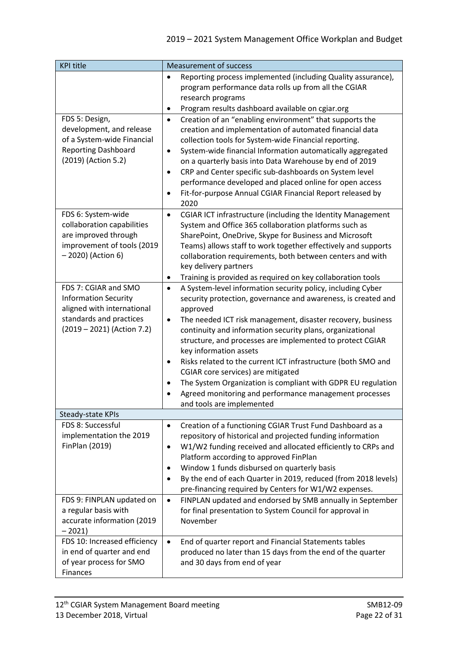| <b>KPI title</b>                                                                                                                           | <b>Measurement of success</b>                                                                                                                                                                                                                                                                                                                                                                                                                                                                                                                                                                                                                                                 |
|--------------------------------------------------------------------------------------------------------------------------------------------|-------------------------------------------------------------------------------------------------------------------------------------------------------------------------------------------------------------------------------------------------------------------------------------------------------------------------------------------------------------------------------------------------------------------------------------------------------------------------------------------------------------------------------------------------------------------------------------------------------------------------------------------------------------------------------|
|                                                                                                                                            | Reporting process implemented (including Quality assurance),<br>$\bullet$<br>program performance data rolls up from all the CGIAR<br>research programs<br>Program results dashboard available on cgiar.org<br>٠                                                                                                                                                                                                                                                                                                                                                                                                                                                               |
| FDS 5: Design,<br>development, and release<br>of a System-wide Financial<br><b>Reporting Dashboard</b><br>(2019) (Action 5.2)              | Creation of an "enabling environment" that supports the<br>$\bullet$<br>creation and implementation of automated financial data<br>collection tools for System-wide Financial reporting.<br>System-wide financial Information automatically aggregated<br>$\bullet$<br>on a quarterly basis into Data Warehouse by end of 2019<br>CRP and Center specific sub-dashboards on System level<br>$\bullet$<br>performance developed and placed online for open access<br>Fit-for-purpose Annual CGIAR Financial Report released by<br>$\bullet$<br>2020                                                                                                                            |
| FDS 6: System-wide<br>collaboration capabilities<br>are improved through<br>improvement of tools (2019<br>- 2020) (Action 6)               | CGIAR ICT infrastructure (including the Identity Management<br>$\bullet$<br>System and Office 365 collaboration platforms such as<br>SharePoint, OneDrive, Skype for Business and Microsoft<br>Teams) allows staff to work together effectively and supports<br>collaboration requirements, both between centers and with<br>key delivery partners<br>Training is provided as required on key collaboration tools<br>$\bullet$                                                                                                                                                                                                                                                |
| FDS 7: CGIAR and SMO<br><b>Information Security</b><br>aligned with international<br>standards and practices<br>(2019 - 2021) (Action 7.2) | A System-level information security policy, including Cyber<br>$\bullet$<br>security protection, governance and awareness, is created and<br>approved<br>The needed ICT risk management, disaster recovery, business<br>$\bullet$<br>continuity and information security plans, organizational<br>structure, and processes are implemented to protect CGIAR<br>key information assets<br>Risks related to the current ICT infrastructure (both SMO and<br>$\bullet$<br>CGIAR core services) are mitigated<br>The System Organization is compliant with GDPR EU regulation<br>$\bullet$<br>Agreed monitoring and performance management processes<br>and tools are implemented |
| Steady-state KPIs                                                                                                                          |                                                                                                                                                                                                                                                                                                                                                                                                                                                                                                                                                                                                                                                                               |
| FDS 8: Successful<br>implementation the 2019<br>FinPlan (2019)                                                                             | Creation of a functioning CGIAR Trust Fund Dashboard as a<br>$\bullet$<br>repository of historical and projected funding information<br>W1/W2 funding received and allocated efficiently to CRPs and<br>$\bullet$<br>Platform according to approved FinPlan<br>Window 1 funds disbursed on quarterly basis<br>$\bullet$<br>By the end of each Quarter in 2019, reduced (from 2018 levels)<br>$\bullet$<br>pre-financing required by Centers for W1/W2 expenses.                                                                                                                                                                                                               |
| FDS 9: FINPLAN updated on<br>a regular basis with<br>accurate information (2019<br>$-2021$                                                 | FINPLAN updated and endorsed by SMB annually in September<br>$\bullet$<br>for final presentation to System Council for approval in<br>November                                                                                                                                                                                                                                                                                                                                                                                                                                                                                                                                |
| FDS 10: Increased efficiency<br>in end of quarter and end<br>of year process for SMO<br>Finances                                           | End of quarter report and Financial Statements tables<br>$\bullet$<br>produced no later than 15 days from the end of the quarter<br>and 30 days from end of year                                                                                                                                                                                                                                                                                                                                                                                                                                                                                                              |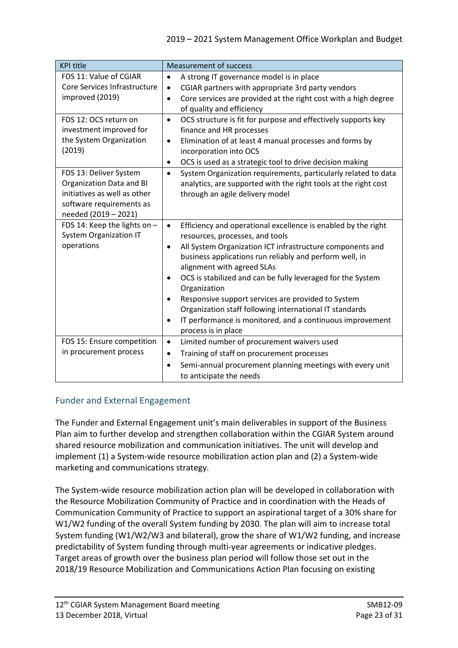| <b>KPI title</b>                                                                                                                       | <b>Measurement of success</b>                                                                                                                                                                                                                                                                                                                                                                                                                                                                                                                                                                               |
|----------------------------------------------------------------------------------------------------------------------------------------|-------------------------------------------------------------------------------------------------------------------------------------------------------------------------------------------------------------------------------------------------------------------------------------------------------------------------------------------------------------------------------------------------------------------------------------------------------------------------------------------------------------------------------------------------------------------------------------------------------------|
| FDS 11: Value of CGIAR<br>Core Services Infrastructure<br>improved (2019)                                                              | A strong IT governance model is in place<br>$\bullet$<br>CGIAR partners with appropriate 3rd party vendors<br>$\bullet$<br>Core services are provided at the right cost with a high degree<br>$\bullet$<br>of quality and efficiency                                                                                                                                                                                                                                                                                                                                                                        |
| FDS 12: OCS return on<br>investment improved for<br>the System Organization<br>(2019)                                                  | OCS structure is fit for purpose and effectively supports key<br>$\bullet$<br>finance and HR processes<br>Elimination of at least 4 manual processes and forms by<br>$\bullet$<br>incorporation into OCS<br>OCS is used as a strategic tool to drive decision making<br>٠                                                                                                                                                                                                                                                                                                                                   |
| FDS 13: Deliver System<br>Organization Data and BI<br>initiatives as well as other<br>software requirements as<br>needed (2019 - 2021) | System Organization requirements, particularly related to data<br>$\bullet$<br>analytics, are supported with the right tools at the right cost<br>through an agile delivery model                                                                                                                                                                                                                                                                                                                                                                                                                           |
| FDS 14: Keep the lights on -<br><b>System Organization IT</b><br>operations                                                            | Efficiency and operational excellence is enabled by the right<br>$\bullet$<br>resources, processes, and tools<br>All System Organization ICT infrastructure components and<br>$\bullet$<br>business applications run reliably and perform well, in<br>alignment with agreed SLAs<br>OCS is stabilized and can be fully leveraged for the System<br>$\bullet$<br>Organization<br>Responsive support services are provided to System<br>$\bullet$<br>Organization staff following international IT standards<br>IT performance is monitored, and a continuous improvement<br>$\bullet$<br>process is in place |
| FDS 15: Ensure competition<br>in procurement process                                                                                   | Limited number of procurement waivers used<br>$\bullet$<br>Training of staff on procurement processes<br>$\bullet$<br>Semi-annual procurement planning meetings with every unit<br>$\bullet$<br>to anticipate the needs                                                                                                                                                                                                                                                                                                                                                                                     |

# Funder and External Engagement

The Funder and External Engagement unit's main deliverables in support of the Business Plan aim to further develop and strengthen collaboration within the CGIAR System around shared resource mobilization and communication initiatives. The unit will develop and implement (1) a System-wide resource mobilization action plan and (2) a System-wide marketing and communications strategy.

The System-wide resource mobilization action plan will be developed in collaboration with the Resource Mobilization Community of Practice and in coordination with the Heads of Communication Community of Practice to support an aspirational target of a 30% share for W1/W2 funding of the overall System funding by 2030. The plan will aim to increase total System funding (W1/W2/W3 and bilateral), grow the share of W1/W2 funding, and increase predictability of System funding through multi-year agreements or indicative pledges. Target areas of growth over the business plan period will follow those set out in the 2018/19 Resource Mobilization and Communications Action Plan focusing on existing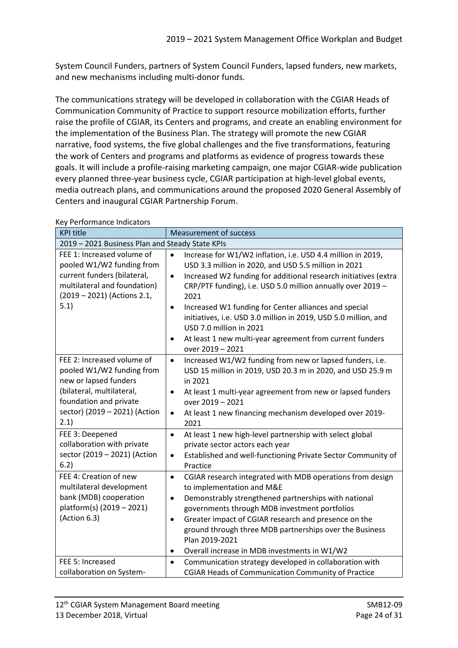System Council Funders, partners of System Council Funders, lapsed funders, new markets, and new mechanisms including multi-donor funds.

The communications strategy will be developed in collaboration with the CGIAR Heads of Communication Community of Practice to support resource mobilization efforts, further raise the profile of CGIAR, its Centers and programs, and create an enabling environment for the implementation of the Business Plan. The strategy will promote the new CGIAR narrative, food systems, the five global challenges and the five transformations, featuring the work of Centers and programs and platforms as evidence of progress towards these goals. It will include a profile-raising marketing campaign, one major CGIAR-wide publication every planned three-year business cycle, CGIAR participation at high-level global events, media outreach plans, and communications around the proposed 2020 General Assembly of Centers and inaugural CGIAR Partnership Forum.

| c, refrommance marcators                                                                                                                                                         |                                                                                                                                                                                                                                                                                                                                                                                                                                                                                                                                                  |  |
|----------------------------------------------------------------------------------------------------------------------------------------------------------------------------------|--------------------------------------------------------------------------------------------------------------------------------------------------------------------------------------------------------------------------------------------------------------------------------------------------------------------------------------------------------------------------------------------------------------------------------------------------------------------------------------------------------------------------------------------------|--|
| <b>KPI title</b>                                                                                                                                                                 | <b>Measurement of success</b>                                                                                                                                                                                                                                                                                                                                                                                                                                                                                                                    |  |
| 2019 - 2021 Business Plan and Steady State KPIs                                                                                                                                  |                                                                                                                                                                                                                                                                                                                                                                                                                                                                                                                                                  |  |
| FEE 1: Increased volume of<br>pooled W1/W2 funding from<br>current funders (bilateral,<br>multilateral and foundation)<br>(2019 - 2021) (Actions 2.1,<br>5.1)                    | Increase for W1/W2 inflation, i.e. USD 4.4 million in 2019,<br>$\bullet$<br>USD 3.3 million in 2020, and USD 5.5 million in 2021<br>Increased W2 funding for additional research initiatives (extra<br>$\bullet$<br>CRP/PTF funding), i.e. USD 5.0 million annually over 2019 -<br>2021<br>Increased W1 funding for Center alliances and special<br>٠<br>initiatives, i.e. USD 3.0 million in 2019, USD 5.0 million, and<br>USD 7.0 million in 2021<br>At least 1 new multi-year agreement from current funders<br>$\bullet$<br>over 2019 - 2021 |  |
| FEE 2: Increased volume of<br>pooled W1/W2 funding from<br>new or lapsed funders<br>(bilateral, multilateral,<br>foundation and private<br>sector) (2019 - 2021) (Action<br>2.1) | Increased W1/W2 funding from new or lapsed funders, i.e.<br>$\bullet$<br>USD 15 million in 2019, USD 20.3 m in 2020, and USD 25.9 m<br>in 2021<br>At least 1 multi-year agreement from new or lapsed funders<br>٠<br>over 2019 - 2021<br>At least 1 new financing mechanism developed over 2019-<br>$\bullet$<br>2021                                                                                                                                                                                                                            |  |
| FEE 3: Deepened<br>collaboration with private<br>sector (2019 - 2021) (Action<br>6.2)                                                                                            | At least 1 new high-level partnership with select global<br>$\bullet$<br>private sector actors each year<br>Established and well-functioning Private Sector Community of<br>$\bullet$<br>Practice                                                                                                                                                                                                                                                                                                                                                |  |
| FEE 4: Creation of new<br>multilateral development<br>bank (MDB) cooperation<br>platform(s) (2019 - 2021)<br>(Action 6.3)                                                        | CGIAR research integrated with MDB operations from design<br>$\bullet$<br>to implementation and M&E<br>Demonstrably strengthened partnerships with national<br>$\bullet$<br>governments through MDB investment portfolios<br>Greater impact of CGIAR research and presence on the<br>٠<br>ground through three MDB partnerships over the Business<br>Plan 2019-2021<br>Overall increase in MDB investments in W1/W2<br>٠                                                                                                                         |  |
| FEE 5: Increased<br>collaboration on System-                                                                                                                                     | Communication strategy developed in collaboration with<br>$\bullet$<br><b>CGIAR Heads of Communication Community of Practice</b>                                                                                                                                                                                                                                                                                                                                                                                                                 |  |

Key Performance Indicators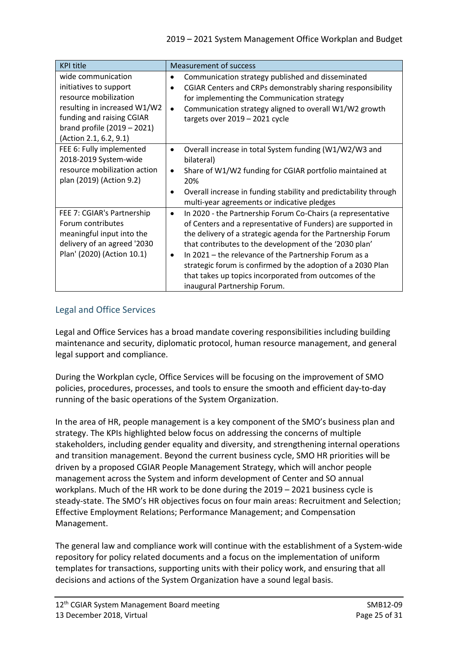| <b>KPI title</b>                                                                                                                                                                            | <b>Measurement of success</b>                                                                                                                                                                                                                                                                                                                                                                                                                                                                     |
|---------------------------------------------------------------------------------------------------------------------------------------------------------------------------------------------|---------------------------------------------------------------------------------------------------------------------------------------------------------------------------------------------------------------------------------------------------------------------------------------------------------------------------------------------------------------------------------------------------------------------------------------------------------------------------------------------------|
| wide communication<br>initiatives to support<br>resource mobilization<br>resulting in increased W1/W2<br>funding and raising CGIAR<br>brand profile (2019 - 2021)<br>(Action 2.1, 6.2, 9.1) | Communication strategy published and disseminated<br>٠<br>CGIAR Centers and CRPs demonstrably sharing responsibility<br>$\bullet$<br>for implementing the Communication strategy<br>Communication strategy aligned to overall W1/W2 growth<br>$\bullet$<br>targets over 2019 - 2021 cycle                                                                                                                                                                                                         |
| FEE 6: Fully implemented<br>2018-2019 System-wide<br>resource mobilization action<br>plan (2019) (Action 9.2)                                                                               | Overall increase in total System funding (W1/W2/W3 and<br>$\bullet$<br>bilateral)<br>Share of W1/W2 funding for CGIAR portfolio maintained at<br>٠<br>20%<br>Overall increase in funding stability and predictability through<br>$\bullet$<br>multi-year agreements or indicative pledges                                                                                                                                                                                                         |
| FEE 7: CGIAR's Partnership<br>Forum contributes<br>meaningful input into the<br>delivery of an agreed '2030<br>Plan' (2020) (Action 10.1)                                                   | In 2020 - the Partnership Forum Co-Chairs (a representative<br>$\bullet$<br>of Centers and a representative of Funders) are supported in<br>the delivery of a strategic agenda for the Partnership Forum<br>that contributes to the development of the '2030 plan'<br>In 2021 - the relevance of the Partnership Forum as a<br>$\bullet$<br>strategic forum is confirmed by the adoption of a 2030 Plan<br>that takes up topics incorporated from outcomes of the<br>inaugural Partnership Forum. |

## Legal and Office Services

Legal and Office Services has a broad mandate covering responsibilities including building maintenance and security, diplomatic protocol, human resource management, and general legal support and compliance.

During the Workplan cycle, Office Services will be focusing on the improvement of SMO policies, procedures, processes, and tools to ensure the smooth and efficient day-to-day running of the basic operations of the System Organization.

In the area of HR, people management is a key component of the SMO's business plan and strategy. The KPIs highlighted below focus on addressing the concerns of multiple stakeholders, including gender equality and diversity, and strengthening internal operations and transition management. Beyond the current business cycle, SMO HR priorities will be driven by a proposed CGIAR People Management Strategy, which will anchor people management across the System and inform development of Center and SO annual workplans. Much of the HR work to be done during the 2019 – 2021 business cycle is steady-state. The SMO's HR objectives focus on four main areas: Recruitment and Selection; Effective Employment Relations; Performance Management; and Compensation Management.

The general law and compliance work will continue with the establishment of a System-wide repository for policy related documents and a focus on the implementation of uniform templates for transactions, supporting units with their policy work, and ensuring that all decisions and actions of the System Organization have a sound legal basis.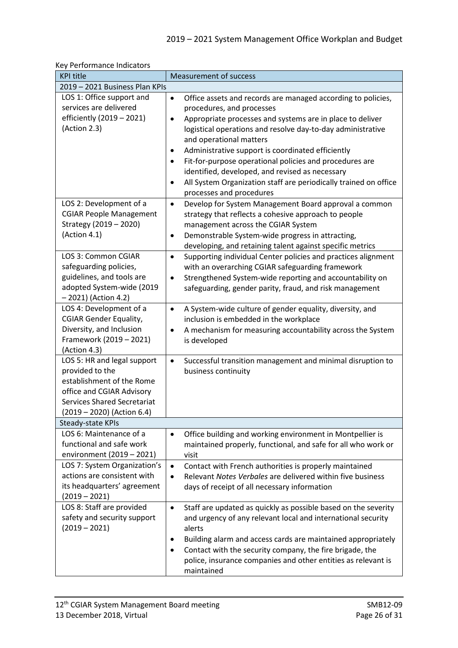| <b>KPI title</b>                                                                                                                                                                        | <b>Measurement of success</b>                                                                                                                                                                                                                                                                                                                                                                                                                                                                                                                                                                                                                                                                                                                    |  |
|-----------------------------------------------------------------------------------------------------------------------------------------------------------------------------------------|--------------------------------------------------------------------------------------------------------------------------------------------------------------------------------------------------------------------------------------------------------------------------------------------------------------------------------------------------------------------------------------------------------------------------------------------------------------------------------------------------------------------------------------------------------------------------------------------------------------------------------------------------------------------------------------------------------------------------------------------------|--|
| 2019 - 2021 Business Plan KPIs                                                                                                                                                          |                                                                                                                                                                                                                                                                                                                                                                                                                                                                                                                                                                                                                                                                                                                                                  |  |
| LOS 1: Office support and<br>services are delivered<br>efficiently (2019 - 2021)<br>(Action 2.3)<br>LOS 2: Development of a<br><b>CGIAR People Management</b><br>Strategy (2019 - 2020) | Office assets and records are managed according to policies,<br>$\bullet$<br>procedures, and processes<br>Appropriate processes and systems are in place to deliver<br>$\bullet$<br>logistical operations and resolve day-to-day administrative<br>and operational matters<br>Administrative support is coordinated efficiently<br>٠<br>Fit-for-purpose operational policies and procedures are<br>$\bullet$<br>identified, developed, and revised as necessary<br>All System Organization staff are periodically trained on office<br>$\bullet$<br>processes and procedures<br>Develop for System Management Board approval a common<br>$\bullet$<br>strategy that reflects a cohesive approach to people<br>management across the CGIAR System |  |
| (Action 4.1)                                                                                                                                                                            | Demonstrable System-wide progress in attracting,<br>٠                                                                                                                                                                                                                                                                                                                                                                                                                                                                                                                                                                                                                                                                                            |  |
| LOS 3: Common CGIAR<br>safeguarding policies,<br>guidelines, and tools are<br>adopted System-wide (2019<br>- 2021) (Action 4.2)                                                         | developing, and retaining talent against specific metrics<br>Supporting individual Center policies and practices alignment<br>$\bullet$<br>with an overarching CGIAR safeguarding framework<br>Strengthened System-wide reporting and accountability on<br>٠<br>safeguarding, gender parity, fraud, and risk management                                                                                                                                                                                                                                                                                                                                                                                                                          |  |
| LOS 4: Development of a<br><b>CGIAR Gender Equality,</b><br>Diversity, and Inclusion<br>Framework (2019 - 2021)<br>(Action 4.3)                                                         | A System-wide culture of gender equality, diversity, and<br>$\bullet$<br>inclusion is embedded in the workplace<br>A mechanism for measuring accountability across the System<br>٠<br>is developed                                                                                                                                                                                                                                                                                                                                                                                                                                                                                                                                               |  |
| LOS 5: HR and legal support<br>provided to the<br>establishment of the Rome<br>office and CGIAR Advisory<br><b>Services Shared Secretariat</b><br>(2019 – 2020) (Action 6.4)            | Successful transition management and minimal disruption to<br>٠<br>business continuity                                                                                                                                                                                                                                                                                                                                                                                                                                                                                                                                                                                                                                                           |  |
| Steady-state KPIs                                                                                                                                                                       |                                                                                                                                                                                                                                                                                                                                                                                                                                                                                                                                                                                                                                                                                                                                                  |  |
| LOS 6: Maintenance of a<br>functional and safe work<br>environment (2019 - 2021)                                                                                                        | Office building and working environment in Montpellier is<br>$\bullet$<br>maintained properly, functional, and safe for all who work or<br>visit                                                                                                                                                                                                                                                                                                                                                                                                                                                                                                                                                                                                 |  |
| LOS 7: System Organization's<br>actions are consistent with<br>its headquarters' agreement<br>$(2019 - 2021)$                                                                           | Contact with French authorities is properly maintained<br>$\bullet$<br>Relevant Notes Verbales are delivered within five business<br>$\bullet$<br>days of receipt of all necessary information                                                                                                                                                                                                                                                                                                                                                                                                                                                                                                                                                   |  |
| LOS 8: Staff are provided<br>safety and security support<br>$(2019 - 2021)$                                                                                                             | Staff are updated as quickly as possible based on the severity<br>٠<br>and urgency of any relevant local and international security<br>alerts<br>Building alarm and access cards are maintained appropriately<br>Contact with the security company, the fire brigade, the<br>٠<br>police, insurance companies and other entities as relevant is<br>maintained                                                                                                                                                                                                                                                                                                                                                                                    |  |

Key Performance Indicators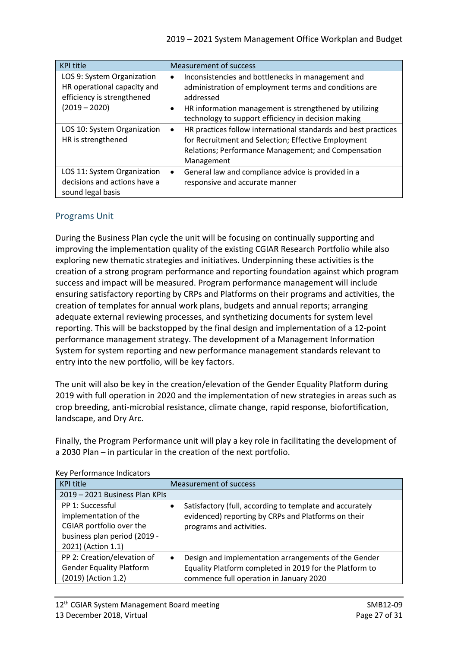| <b>KPI title</b>                                                                                           | <b>Measurement of success</b>                                                                                                                                                                                                                              |
|------------------------------------------------------------------------------------------------------------|------------------------------------------------------------------------------------------------------------------------------------------------------------------------------------------------------------------------------------------------------------|
| LOS 9: System Organization<br>HR operational capacity and<br>efficiency is strengthened<br>$(2019 - 2020)$ | Inconsistencies and bottlenecks in management and<br>$\bullet$<br>administration of employment terms and conditions are<br>addressed<br>HR information management is strengthened by utilizing<br>٠<br>technology to support efficiency in decision making |
| LOS 10: System Organization<br>HR is strengthened                                                          | HR practices follow international standards and best practices<br>for Recruitment and Selection; Effective Employment<br>Relations; Performance Management; and Compensation<br>Management                                                                 |
| LOS 11: System Organization<br>decisions and actions have a<br>sound legal basis                           | General law and compliance advice is provided in a<br>responsive and accurate manner                                                                                                                                                                       |

## Programs Unit

During the Business Plan cycle the unit will be focusing on continually supporting and improving the implementation quality of the existing CGIAR Research Portfolio while also exploring new thematic strategies and initiatives. Underpinning these activities is the creation of a strong program performance and reporting foundation against which program success and impact will be measured. Program performance management will include ensuring satisfactory reporting by CRPs and Platforms on their programs and activities, the creation of templates for annual work plans, budgets and annual reports; arranging adequate external reviewing processes, and synthetizing documents for system level reporting. This will be backstopped by the final design and implementation of a 12-point performance management strategy. The development of a Management Information System for system reporting and new performance management standards relevant to entry into the new portfolio, will be key factors.

The unit will also be key in the creation/elevation of the Gender Equality Platform during 2019 with full operation in 2020 and the implementation of new strategies in areas such as crop breeding, anti-microbial resistance, climate change, rapid response, biofortification, landscape, and Dry Arc.

Finally, the Program Performance unit will play a key role in facilitating the development of a 2030 Plan – in particular in the creation of the next portfolio.

| <b>KPI title</b>                                                                                                            | <b>Measurement of success</b>                                                                                                                                   |  |  |  |  |
|-----------------------------------------------------------------------------------------------------------------------------|-----------------------------------------------------------------------------------------------------------------------------------------------------------------|--|--|--|--|
| 2019 - 2021 Business Plan KPIs                                                                                              |                                                                                                                                                                 |  |  |  |  |
| PP 1: Successful<br>implementation of the<br>CGIAR portfolio over the<br>business plan period (2019 -<br>2021) (Action 1.1) | Satisfactory (full, according to template and accurately<br>evidenced) reporting by CRPs and Platforms on their<br>programs and activities.                     |  |  |  |  |
| PP 2: Creation/elevation of<br><b>Gender Equality Platform</b><br>(2019) (Action 1.2)                                       | Design and implementation arrangements of the Gender<br>٠<br>Equality Platform completed in 2019 for the Platform to<br>commence full operation in January 2020 |  |  |  |  |

### Key Performance Indicators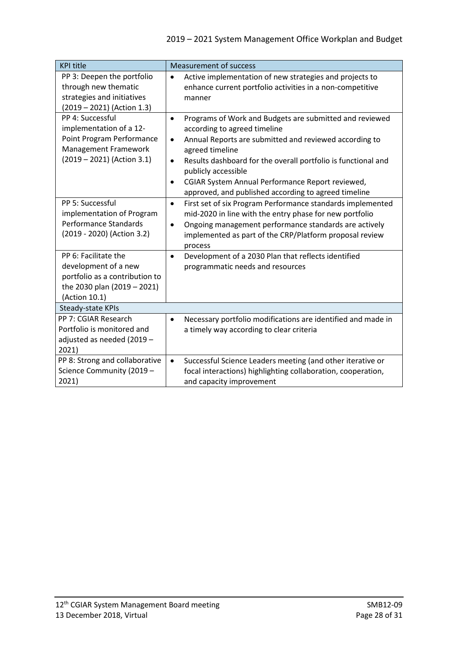| <b>KPI title</b>                                                                                                               | <b>Measurement of success</b>                                                                                                                                                                                                                                                                                                                                                                                                |  |  |  |
|--------------------------------------------------------------------------------------------------------------------------------|------------------------------------------------------------------------------------------------------------------------------------------------------------------------------------------------------------------------------------------------------------------------------------------------------------------------------------------------------------------------------------------------------------------------------|--|--|--|
| PP 3: Deepen the portfolio<br>through new thematic<br>strategies and initiatives<br>$(2019 - 2021)$ (Action 1.3)               | Active implementation of new strategies and projects to<br>$\bullet$<br>enhance current portfolio activities in a non-competitive<br>manner                                                                                                                                                                                                                                                                                  |  |  |  |
| PP 4: Successful<br>implementation of a 12-<br>Point Program Performance<br>Management Framework<br>(2019 - 2021) (Action 3.1) | Programs of Work and Budgets are submitted and reviewed<br>$\bullet$<br>according to agreed timeline<br>Annual Reports are submitted and reviewed according to<br>$\bullet$<br>agreed timeline<br>Results dashboard for the overall portfolio is functional and<br>$\bullet$<br>publicly accessible<br>CGIAR System Annual Performance Report reviewed,<br>$\bullet$<br>approved, and published according to agreed timeline |  |  |  |
| PP 5: Successful<br>implementation of Program<br><b>Performance Standards</b><br>(2019 - 2020) (Action 3.2)                    | First set of six Program Performance standards implemented<br>$\bullet$<br>mid-2020 in line with the entry phase for new portfolio<br>Ongoing management performance standards are actively<br>$\bullet$<br>implemented as part of the CRP/Platform proposal review<br>process                                                                                                                                               |  |  |  |
| PP 6: Facilitate the<br>development of a new<br>portfolio as a contribution to<br>the 2030 plan (2019 - 2021)<br>(Action 10.1) | Development of a 2030 Plan that reflects identified<br>$\bullet$<br>programmatic needs and resources                                                                                                                                                                                                                                                                                                                         |  |  |  |
| Steady-state KPIs                                                                                                              |                                                                                                                                                                                                                                                                                                                                                                                                                              |  |  |  |
| PP 7: CGIAR Research<br>Portfolio is monitored and<br>adjusted as needed (2019 -<br>2021)                                      | Necessary portfolio modifications are identified and made in<br>$\bullet$<br>a timely way according to clear criteria                                                                                                                                                                                                                                                                                                        |  |  |  |
| PP 8: Strong and collaborative<br>Science Community (2019 -<br>2021)                                                           | Successful Science Leaders meeting (and other iterative or<br>$\bullet$<br>focal interactions) highlighting collaboration, cooperation,<br>and capacity improvement                                                                                                                                                                                                                                                          |  |  |  |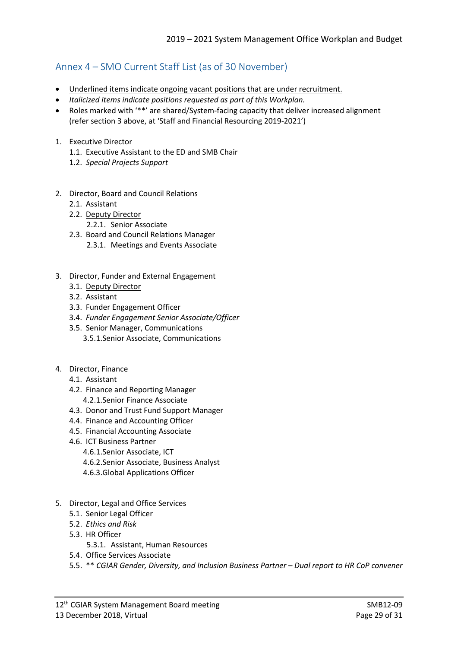# <span id="page-28-0"></span>Annex 4 – SMO Current Staff List (as of 30 November)

- Underlined items indicate ongoing vacant positions that are under recruitment.
- *Italicized items indicate positions requested as part of this Workplan.*
- Roles marked with '\*\*' are shared/System-facing capacity that deliver increased alignment (refer section 3 above, at 'Staff and Financial Resourcing 2019-2021')
- 1. Executive Director
	- 1.1. Executive Assistant to the ED and SMB Chair
	- 1.2. *Special Projects Support*
- 2. Director, Board and Council Relations
	- 2.1. Assistant
	- 2.2. Deputy Director
		- 2.2.1. Senior Associate
	- 2.3. Board and Council Relations Manager
		- 2.3.1. Meetings and Events Associate
- 3. Director, Funder and External Engagement
	- 3.1. Deputy Director
	- 3.2. Assistant
	- 3.3. Funder Engagement Officer
	- 3.4. *Funder Engagement Senior Associate/Officer*
	- 3.5. Senior Manager, Communications 3.5.1.Senior Associate, Communications
- 4. Director, Finance
	- 4.1. Assistant
	- 4.2. Finance and Reporting Manager
		- 4.2.1.Senior Finance Associate
	- 4.3. Donor and Trust Fund Support Manager
	- 4.4. Finance and Accounting Officer
	- 4.5. Financial Accounting Associate
	- 4.6. ICT Business Partner
		- 4.6.1.Senior Associate, ICT
		- 4.6.2.Senior Associate, Business Analyst
		- 4.6.3.Global Applications Officer
- 5. Director, Legal and Office Services
	- 5.1. Senior Legal Officer
	- 5.2. *Ethics and Risk*
	- 5.3. HR Officer
		- 5.3.1. Assistant, Human Resources
	- 5.4. Office Services Associate
	- 5.5. \*\* *CGIAR Gender, Diversity, and Inclusion Business Partner – Dual report to HR CoP convener*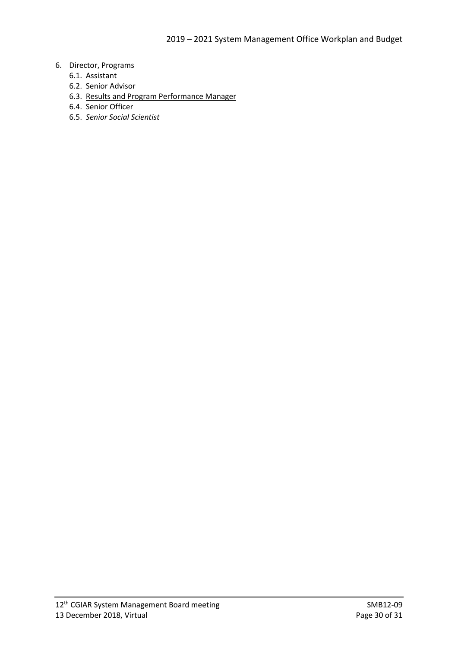### 6. Director, Programs

- 6.1. Assistant
- 6.2. Senior Advisor
- 6.3. Results and Program Performance Manager
- 6.4. Senior Officer
- 6.5. *Senior Social Scientist*